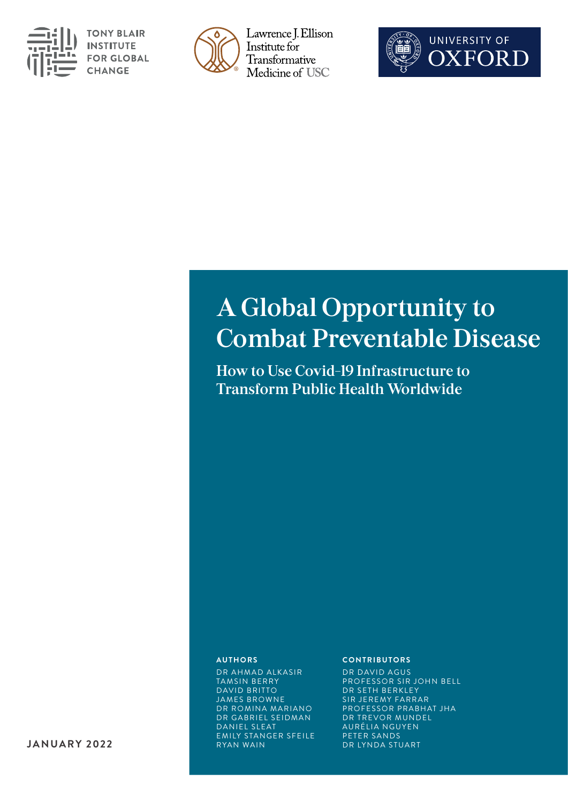

**TONY BLAIR INSTITUTE FOR GLOBAL CHANGE** 



Lawrence J. Ellison Institute for Transformative Medicine of USC



# **A Global Opportunity to Combat Preventable Disease**

**How to Use Covid-19 Infrastructure to Transform Public Health Worldwide** 

#### **AUTHORS**

DR AHMAD ALKASIR TAMSIN BERRY DAVID BRITTO JAMES BROWNE DR ROMINA MARIANO DR GABRIEL SEIDMAN DANIEL SLEAT EMILY STANGER SFEILE RYAN WAIN

#### **CONTRIBUTORS**

DR DAVID AGUS PROFESSOR SIR JOHN BELL DR SETH BERKLEY SIR JEREMY FARRAR PROFESSOR PRABHAT JHA DR TREVOR MUNDEL AURÉLIA NGUYEN PETER SANDS DR LYNDA STUART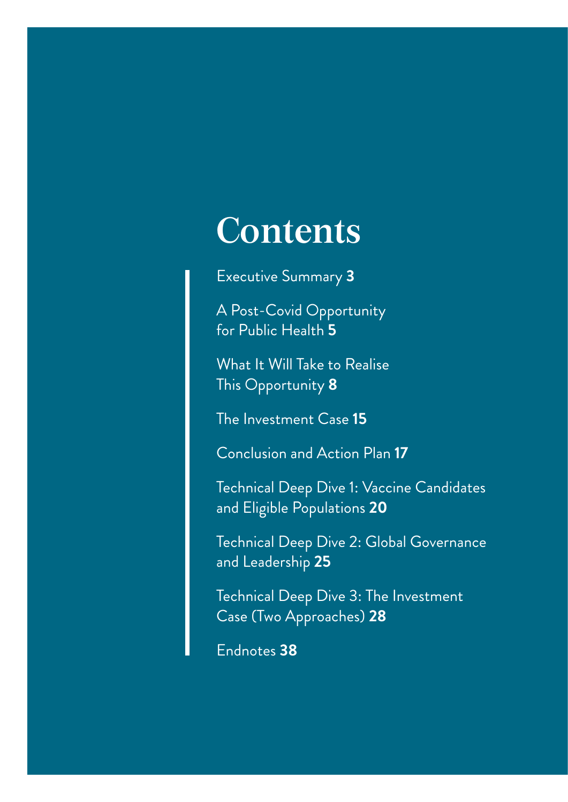# **Contents**

[Executive Summary](#page-2-0) **3**

[A Post-Covid Opportunity](#page-5-0)  [for Public Health](#page-5-0) **5**

[What It Will Take to Realise](#page-8-0)  [This Opportunity](#page-8-0) **8**

[The Investment Case](#page-15-0) **15**

[Conclusion and Action Plan](#page-17-0) **17**

[Technical Deep Dive 1: Vaccine Candidates](#page-20-0)  [and Eligible Populations](#page-20-0) **20**

[Technical Deep Dive 2: Global Governance](#page-25-0) [and Leadership](#page-25-0) **25**

[Technical Deep Dive 3: The Investment](#page-28-0)  [Case \(Two Approaches\)](#page-28-0) **28**

[Endnotes](#page-38-0) **38**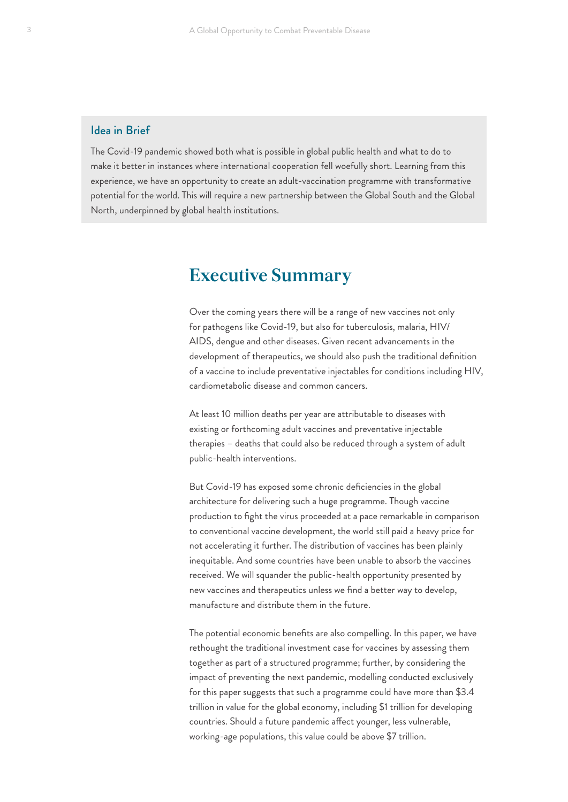### <span id="page-2-0"></span>Idea in Brief

The Covid-19 pandemic showed both what is possible in global public health and what to do to make it better in instances where international cooperation fell woefully short. Learning from this experience, we have an opportunity to create an adult-vaccination programme with transformative potential for the world. This will require a new partnership between the Global South and the Global North, underpinned by global health institutions.

# **Executive Summary**

Over the coming years there will be a range of new vaccines not only for pathogens like Covid-19, but also for tuberculosis, malaria, HIV/ AIDS, dengue and other diseases. Given recent advancements in the development of therapeutics, we should also push the traditional definition of a vaccine to include preventative injectables for conditions including HIV, cardiometabolic disease and common cancers.

At least 10 million deaths per year are attributable to diseases with existing or forthcoming adult vaccines and preventative injectable therapies – deaths that could also be reduced through a system of adult public-health interventions.

But Covid-19 has exposed some chronic deficiencies in the global architecture for delivering such a huge programme. Though vaccine production to fight the virus proceeded at a pace remarkable in comparison to conventional vaccine development, the world still paid a heavy price for not accelerating it further. The distribution of vaccines has been plainly inequitable. And some countries have been unable to absorb the vaccines received. We will squander the public-health opportunity presented by new vaccines and therapeutics unless we find a better way to develop, manufacture and distribute them in the future.

The potential economic benefits are also compelling. In this paper, we have rethought the traditional investment case for vaccines by assessing them together as part of a structured programme; further, by considering the impact of preventing the next pandemic, modelling conducted exclusively for this paper suggests that such a programme could have more than \$3.4 trillion in value for the global economy, including \$1 trillion for developing countries. Should a future pandemic affect younger, less vulnerable, working-age populations, this value could be above \$7 trillion.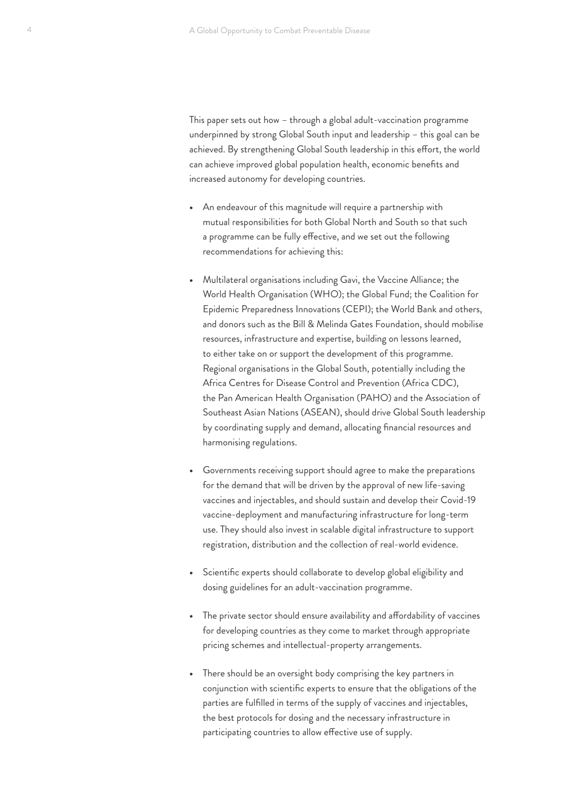This paper sets out how – through a global adult-vaccination programme underpinned by strong Global South input and leadership – this goal can be achieved. By strengthening Global South leadership in this effort, the world can achieve improved global population health, economic benefits and increased autonomy for developing countries.

- **•** An endeavour of this magnitude will require a partnership with mutual responsibilities for both Global North and South so that such a programme can be fully effective, and we set out the following recommendations for achieving this:
- **•** Multilateral organisations including Gavi, the Vaccine Alliance; the World Health Organisation (WHO); the Global Fund; the Coalition for Epidemic Preparedness Innovations (CEPI); the World Bank and others, and donors such as the Bill & Melinda Gates Foundation, should mobilise resources, infrastructure and expertise, building on lessons learned, to either take on or support the development of this programme. Regional organisations in the Global South, potentially including the Africa Centres for Disease Control and Prevention (Africa CDC), the Pan American Health Organisation (PAHO) and the Association of Southeast Asian Nations (ASEAN), should drive Global South leadership by coordinating supply and demand, allocating financial resources and harmonising regulations.
- **•** Governments receiving support should agree to make the preparations for the demand that will be driven by the approval of new life-saving vaccines and injectables, and should sustain and develop their Covid-19 vaccine-deployment and manufacturing infrastructure for long-term use. They should also invest in scalable digital infrastructure to support registration, distribution and the collection of real-world evidence.
- **•** Scientific experts should collaborate to develop global eligibility and dosing guidelines for an adult-vaccination programme.
- **•** The private sector should ensure availability and affordability of vaccines for developing countries as they come to market through appropriate pricing schemes and intellectual-property arrangements.
- **•** There should be an oversight body comprising the key partners in conjunction with scientific experts to ensure that the obligations of the parties are fulfilled in terms of the supply of vaccines and injectables, the best protocols for dosing and the necessary infrastructure in participating countries to allow effective use of supply.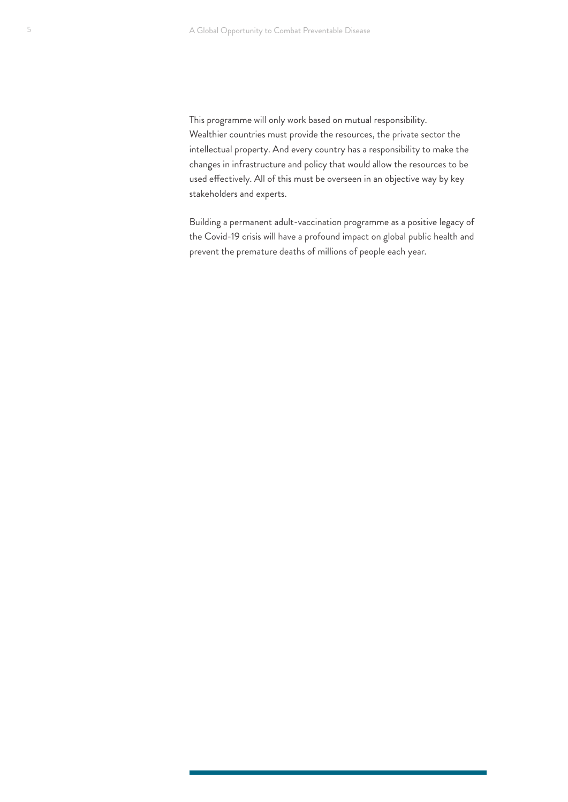This programme will only work based on mutual responsibility. Wealthier countries must provide the resources, the private sector the intellectual property. And every country has a responsibility to make the changes in infrastructure and policy that would allow the resources to be used effectively. All of this must be overseen in an objective way by key stakeholders and experts.

Building a permanent adult-vaccination programme as a positive legacy of the Covid-19 crisis will have a profound impact on global public health and prevent the premature deaths of millions of people each year.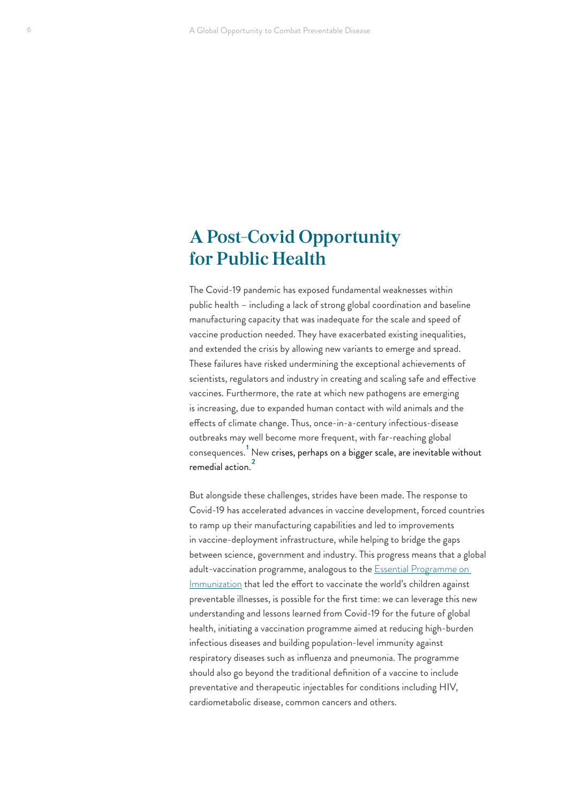# <span id="page-5-0"></span>**A Post-Covid Opportunity for Public Health**

The Covid-19 pandemic has exposed fundamental weaknesses within public health – including a lack of strong global coordination and baseline manufacturing capacity that was inadequate for the scale and speed of vaccine production needed. They have exacerbated existing inequalities, and extended the crisis by allowing new variants to emerge and spread. These failures have risked undermining the exceptional achievements of scientists, regulators and industry in creating and scaling safe and effective vaccines. Furthermore, the rate at which new pathogens are emerging is increasing, due to expanded human contact with wild animals and the effects of climate change. Thus, once-in-a-century infectious-disease outbreaks may well become more frequent, with far-reaching global consequences. [1](#page-38-0) New crises, perhaps on a bigger scale, are inevitable without remedial action.<sup>2</sup>

But alongside these challenges, strides have been made. The response to Covid-19 has accelerated advances in vaccine development, forced countries to ramp up their manufacturing capabilities and led to improvements in vaccine-deployment infrastructure, while helping to bridge the gaps between science, government and industry. This progress means that a global adult-vaccination programme, analogous to the **Essential Programme** on [Immunization](https://www.who.int/teams/immunization-vaccines-and-biologicals/essential-programme-on-immunization) that led the effort to vaccinate the world's children against preventable illnesses, is possible for the first time: we can leverage this new understanding and lessons learned from Covid-19 for the future of global health, initiating a vaccination programme aimed at reducing high-burden infectious diseases and building population-level immunity against respiratory diseases such as influenza and pneumonia. The programme should also go beyond the traditional definition of a vaccine to include preventative and therapeutic injectables for conditions including HIV, cardiometabolic disease, common cancers and others.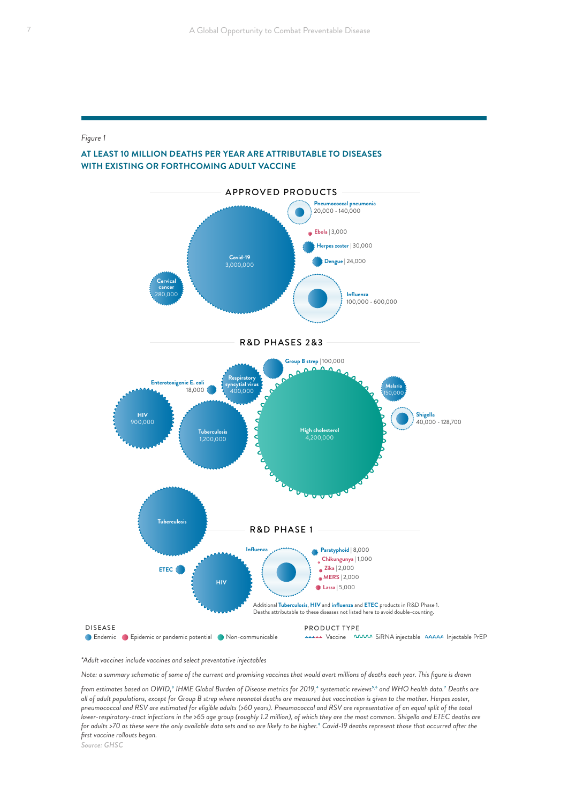#### <span id="page-6-0"></span>*Figure 1*



#### **AT LEAST 10 MILLION DEATHS PER YEAR ARE ATTRIBUTABLE TO DISEASES WITH EXISTING OR FORTHCOMING ADULT VACCINE**

*\*Adult vaccines include vaccines and select preventative injectables* 

*Note: a summary schematic of some of the current and promising vaccines that would avert millions of deaths each year. This figure is drawn* 

*from estimates based on OWID,*[3](#page-38-0) *IHME Global Burden of Disease metrics for 2019,*[4](#page-38-0) *systematic reviews*[5](#page-38-0) , [6](#page-38-0) *and WHO health data.*[7](#page-38-0) *Deaths are all of adult populations, except for Group B strep where neonatal deaths are measured but vaccination is given to the mother. Herpes zoster, pneumococcal and RSV are estimated for eligible adults (>60 years). Pneumococcal and RSV are representative of an equal split of the total lower-respiratory-tract infections in the >65 age group (roughly 1.2 million), of which they are the most common. Shigella and ETEC deaths are for adults >70 as these were the only available data sets and so are likely to be higher.*[8](#page-38-0) *Covid-19 deaths represent those that occurred after the first vaccine rollouts began.*

*Source: GHSC*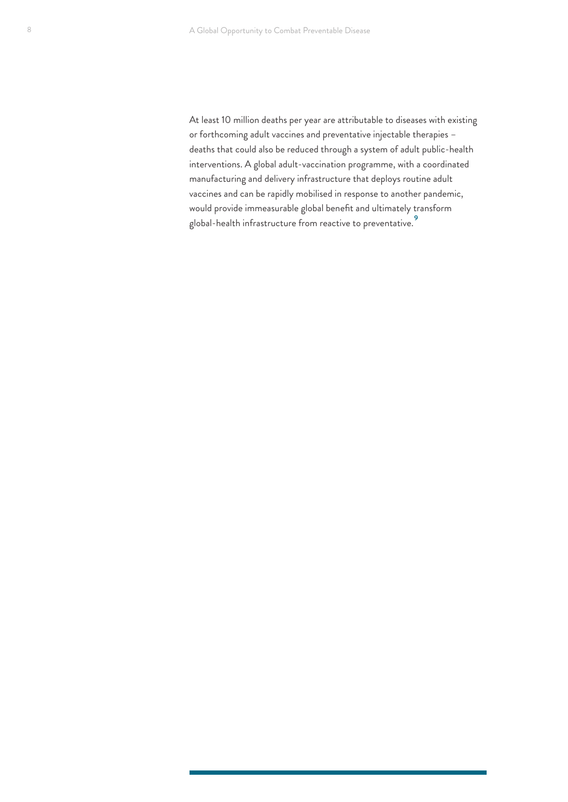<span id="page-7-0"></span>At least 10 million deaths per year are attributable to diseases with existing or forthcoming adult vaccines and preventative injectable therapies – deaths that could also be reduced through a system of adult public-health interventions. A global adult-vaccination programme, with a coordinated manufacturing and delivery infrastructure that deploys routine adult vaccines and can be rapidly mobilised in response to another pandemic, would provide immeasurable global benefit and ultimately transform global-health infrastructure from reactive to preventative.<sup>[9](#page-38-0)</sup>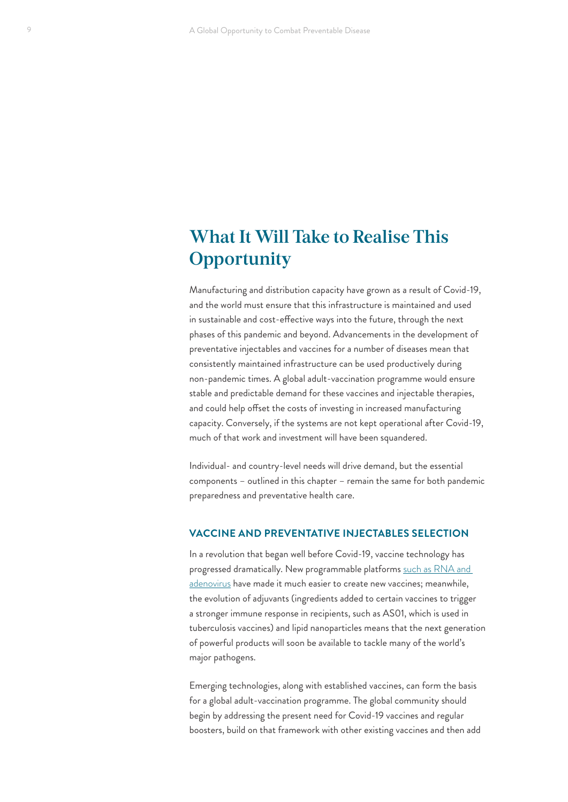# <span id="page-8-0"></span>**What It Will Take to Realise This Opportunity**

Manufacturing and distribution capacity have grown as a result of Covid-19, and the world must ensure that this infrastructure is maintained and used in sustainable and cost-effective ways into the future, through the next phases of this pandemic and beyond. Advancements in the development of preventative injectables and vaccines for a number of diseases mean that consistently maintained infrastructure can be used productively during non-pandemic times. A global adult-vaccination programme would ensure stable and predictable demand for these vaccines and injectable therapies, and could help offset the costs of investing in increased manufacturing capacity. Conversely, if the systems are not kept operational after Covid-19, much of that work and investment will have been squandered.

Individual- and country-level needs will drive demand, but the essential components – outlined in this chapter – remain the same for both pandemic preparedness and preventative health care.

#### **VACCINE AND PREVENTATIVE INJECTABLES SELECTION**

In a revolution that began well before Covid-19, vaccine technology has progressed dramatically. New programmable platforms [such as RNA and](https://www.hhs.gov/immunization/basics/types/index.html)  [adenovirus](https://www.hhs.gov/immunization/basics/types/index.html) have made it much easier to create new vaccines; meanwhile, the evolution of adjuvants (ingredients added to certain vaccines to trigger a stronger immune response in recipients, such as AS01, which is used in tuberculosis vaccines) and lipid nanoparticles means that the next generation of powerful products will soon be available to tackle many of the world's major pathogens.

Emerging technologies, along with established vaccines, can form the basis for a global adult-vaccination programme. The global community should begin by addressing the present need for Covid-19 vaccines and regular boosters, build on that framework with other existing vaccines and then add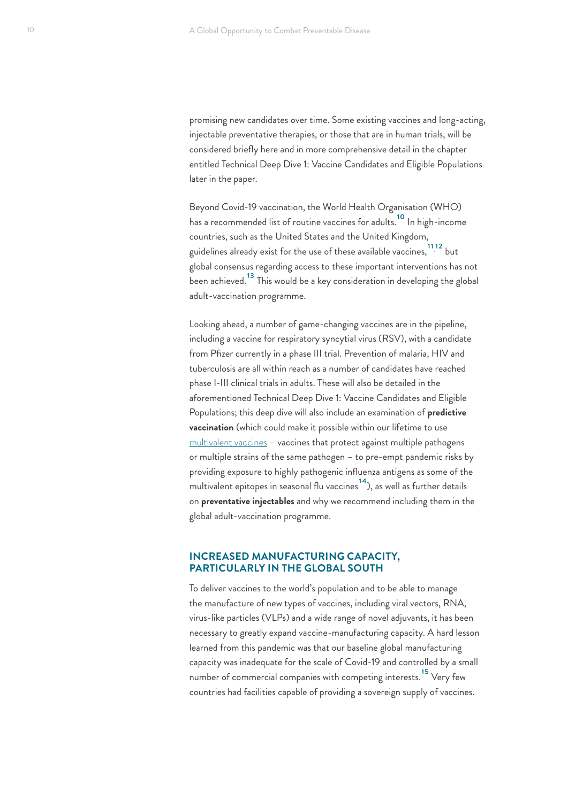<span id="page-9-0"></span>promising new candidates over time. Some existing vaccines and long-acting, injectable preventative therapies, or those that are in human trials, will be considered briefly here and in more comprehensive detail in the chapter entitled Technical Deep Dive 1: Vaccine Candidates and Eligible Populations later in the paper.

Beyond Covid-19 vaccination, the World Health Organisation (WHO) has a recommended list of routine vaccines for adults.[10](#page-38-0) In high-income countries, such as the United States and the United Kingdom, guidelines already exist for the use of these available vaccines,  $^{11\,12}_{\phantom{12}}$  $^{11\,12}_{\phantom{12}}$  $^{11\,12}_{\phantom{12}}$  but global consensus regarding access to these important interventions has not been achieved.<sup>13</sup> This would be a key consideration in developing the global adult-vaccination programme.

Looking ahead, a number of game-changing vaccines are in the pipeline, including a vaccine for respiratory syncytial virus (RSV), with a candidate from Pfizer currently in a phase III trial. Prevention of malaria, HIV and tuberculosis are all within reach as a number of candidates have reached phase I-III clinical trials in adults. These will also be detailed in the aforementioned Technical Deep Dive 1: Vaccine Candidates and Eligible Populations; this deep dive will also include an examination of **predictive vaccination** (which could make it possible within our lifetime to use [multivalent vaccines](https://www.ncbi.nlm.nih.gov/pmc/articles/PMC5216423/) – vaccines that protect against multiple pathogens or multiple strains of the same pathogen – to pre-empt pandemic risks by providing exposure to highly pathogenic influenza antigens as some of the multivalent epitopes in seasonal flu vaccines<sup>14</sup>), as well as further details on **preventative injectables** and why we recommend including them in the global adult-vaccination programme.

### **INCREASED MANUFACTURING CAPACITY, PARTICULARLY IN THE GLOBAL SOUTH**

To deliver vaccines to the world's population and to be able to manage the manufacture of new types of vaccines, including viral vectors, RNA, virus-like particles (VLPs) and a wide range of novel adjuvants, it has been necessary to greatly expand vaccine-manufacturing capacity. A hard lesson learned from this pandemic was that our baseline global manufacturing capacity was inadequate for the scale of Covid-19 and controlled by a small number of commercial companies with competing interests.<sup>15</sup> Very few countries had facilities capable of providing a sovereign supply of vaccines.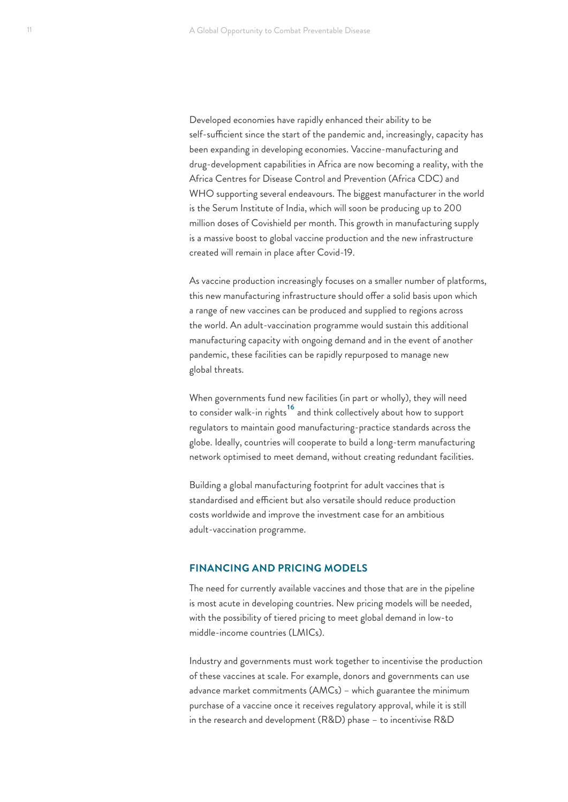<span id="page-10-0"></span>Developed economies have rapidly enhanced their ability to be self-sufficient since the start of the pandemic and, increasingly, capacity has been expanding in developing economies. Vaccine-manufacturing and drug-development capabilities in Africa are now becoming a reality, with the Africa Centres for Disease Control and Prevention (Africa CDC) and WHO supporting several endeavours. The biggest manufacturer in the world is the Serum Institute of India, which will soon be producing up to 200 million doses of [Covishield](https://www.seruminstitute.com/product_covishield.php) per month. This growth in manufacturing supply is a massive boost to global vaccine production and the new infrastructure created will remain in place after Covid-19.

As vaccine production increasingly focuses on a smaller number of platforms, this new manufacturing infrastructure should offer a solid basis upon which a range of new vaccines can be produced and supplied to regions across the world. An adult-vaccination programme would sustain this additional manufacturing capacity with ongoing demand and in the event of another pandemic, these facilities can be rapidly repurposed to manage new global threats.

When governments fund new facilities (in part or wholly), they will need to consider walk-in rights<sup>[16](#page-38-0)</sup> and think collectively about how to support regulators to maintain good manufacturing-practice standards across the globe. Ideally, countries will cooperate to build a long-term manufacturing network optimised to meet demand, without creating redundant facilities.

Building a global manufacturing footprint for adult vaccines that is standardised and efficient but also versatile should reduce production costs worldwide and improve the investment case for an ambitious adult-vaccination programme.

#### **FINANCING AND PRICING MODELS**

The need for currently available vaccines and those that are in the pipeline is most acute in developing countries. New pricing models will be needed, with the possibility of tiered pricing to meet global demand in low-to middle-income countries (LMICs).

Industry and governments must work together to incentivise the production of these vaccines at scale. For example, donors and governments can use advance market commitments (AMCs) – which guarantee the minimum purchase of a vaccine once it receives regulatory approval, while it is still in the research and development (R&D) phase – to incentivise R&D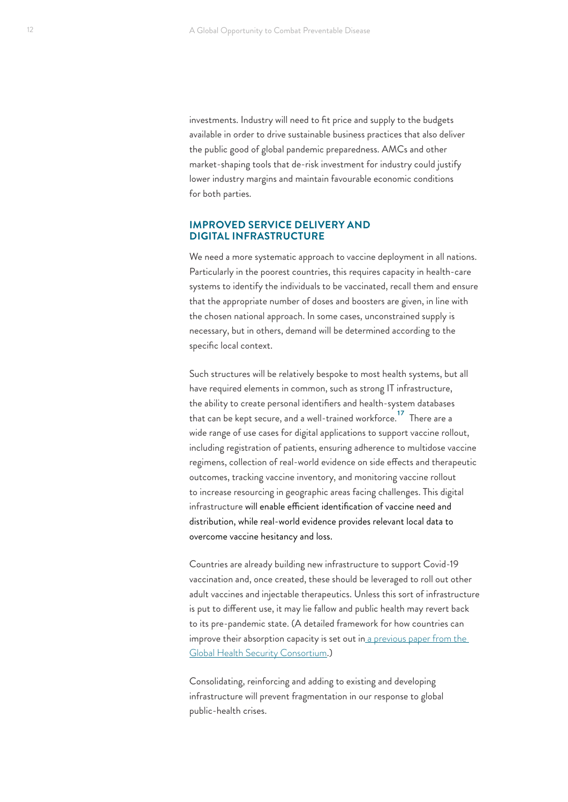<span id="page-11-0"></span>investments. Industry will need to fit price and supply to the budgets available in order to drive sustainable business practices that also deliver the public good of global pandemic preparedness. AMCs and other market-shaping tools that de-risk investment for industry could justify lower industry margins and maintain favourable economic conditions for both parties.

#### **IMPROVED SERVICE DELIVERY AND DIGITAL INFRASTRUCTURE**

We need a more systematic approach to vaccine deployment in all nations. Particularly in the poorest countries, this requires capacity in health-care systems to identify the individuals to be vaccinated, recall them and ensure that the appropriate number of doses and boosters are given, in line with the chosen national approach. In some cases, unconstrained supply is necessary, but in others, demand will be determined according to the specific local context.

Such structures will be relatively bespoke to most health systems, but all have required elements in common, such as strong IT infrastructure, the ability to create personal identifiers and health-system databases that can be kept secure, and a well-trained workforce.<sup>17</sup> There are a wide range of use cases for digital applications to support vaccine rollout, including registration of patients, ensuring adherence to multidose vaccine regimens, collection of real-world evidence on side effects and therapeutic outcomes, tracking vaccine inventory, and monitoring vaccine rollout to increase resourcing in geographic areas facing challenges. This digital infrastructure will enable efficient identification of vaccine need and distribution, while real-world evidence provides relevant local data to overcome vaccine hesitancy and loss.

Countries are already building new infrastructure to support Covid-19 vaccination and, once created, these should be leveraged to roll out other adult vaccines and injectable therapeutics. Unless this sort of infrastructure is put to different use, it may lie fallow and public health may revert back to its pre-pandemic state. (A detailed framework for how countries can improve their absorption capacity is set out in a previous paper from the [Global Health Security Consortium](https://institute.global/ghsc/absorption-capacity).)

Consolidating, reinforcing and adding to existing and developing infrastructure will prevent fragmentation in our response to global public-health crises.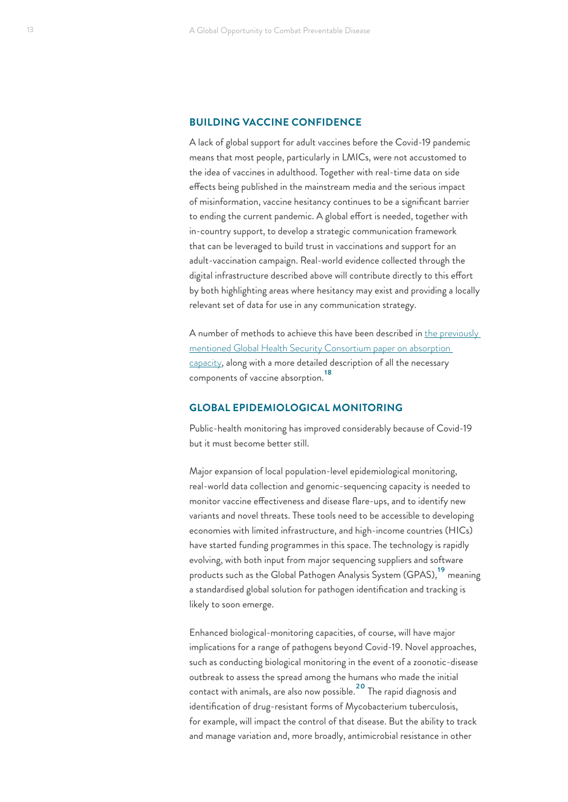#### <span id="page-12-0"></span>**BUILDING VACCINE CONFIDENCE**

A lack of global support for adult vaccines before the Covid-19 pandemic means that most people, particularly in LMICs, were not accustomed to the idea of vaccines in adulthood. Together with real-time data on side effects being published in the mainstream media and the serious impact of misinformation, vaccine hesitancy continues to be a significant barrier to ending the current pandemic. A global effort is needed, together with in-country support, to develop a strategic communication framework that can be leveraged to build trust in vaccinations and support for an adult-vaccination campaign. Real-world evidence collected through the digital infrastructure described above will contribute directly to this effort by both highlighting areas where hesitancy may exist and providing a locally relevant set of data for use in any communication strategy.

A number of methods to achieve this have been described in [the previously](https://institute.global/ghsc/absorption-capacity)  [mentioned Global Health Security Consortium](https://institute.global/ghsc/absorption-capacity) paper on absorption capacity, along with a more detailed description of all the necessary components of vaccine absorption.[18](#page-38-0)

### **GLOBAL EPIDEMIOLOGICAL MONITORING**

Public-health monitoring has improved considerably because of Covid-19 but it must become better still.

Major expansion of local population-level epidemiological monitoring, real-world data collection and genomic-sequencing capacity is needed to monitor vaccine effectiveness and disease flare-ups, and to identify new variants and novel threats. These tools need to be accessible to developing economies with limited infrastructure, and high-income countries (HICs) have started funding programmes in this space. The technology is rapidly evolving, with both input from major sequencing suppliers and software products such as the Global Pathogen Analysis System (GPAS),<sup>19</sup> meaning a standardised global solution for pathogen identification and tracking is likely to soon emerge.

Enhanced biological-monitoring capacities, of course, will have major implications for a range of pathogens beyond Covid-19. Novel approaches, such as conducting biological monitoring in the event of a zoonotic-disease outbreak to assess the spread among the humans who made the initial contact with animals, are also now possible.[20](#page-39-0) The rapid diagnosis and identification of drug-resistant forms of Mycobacterium tuberculosis, for example, will impact the control of that disease. But the ability to track and manage variation and, more broadly, antimicrobial resistance in other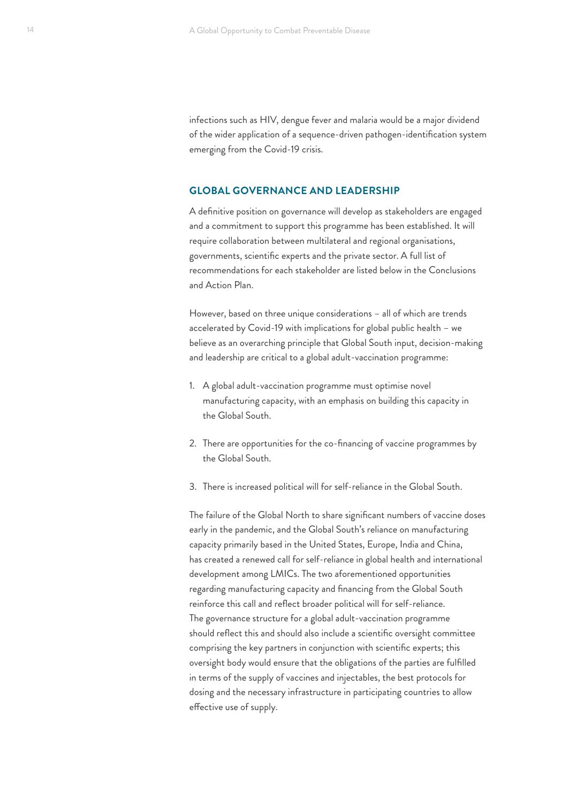infections such as HIV, dengue fever and malaria would be a major dividend of the wider application of a sequence-driven pathogen-identification system emerging from the Covid-19 crisis.

#### **GLOBAL GOVERNANCE AND LEADERSHIP**

A definitive position on governance will develop as stakeholders are engaged and a commitment to support this programme has been established. It will require collaboration between multilateral and regional organisations, governments, scientific experts and the private sector. A full list of recommendations for each stakeholder are listed below in the Conclusions and Action Plan.

However, based on three unique considerations – all of which are trends accelerated by Covid-19 with implications for global public health – we believe as an overarching principle that Global South input, decision-making and leadership are critical to a global adult-vaccination programme:

- 1. A global adult-vaccination programme must optimise novel manufacturing capacity, with an emphasis on building this capacity in the Global South.
- 2. There are opportunities for the co-financing of vaccine programmes by the Global South.
- 3. There is increased political will for self-reliance in the Global South.

The failure of the Global North to share significant numbers of vaccine doses early in the pandemic, and the Global South's reliance on manufacturing capacity primarily based in the United States, Europe, India and China, has created a renewed call for self-reliance in global health and international development among LMICs. The two aforementioned opportunities regarding manufacturing capacity and financing from the Global South reinforce this call and reflect broader political will for self-reliance. The governance structure for a global adult-vaccination programme should reflect this and should also include a scientific oversight committee comprising the key partners in conjunction with scientific experts; this oversight body would ensure that the obligations of the parties are fulfilled in terms of the supply of vaccines and injectables, the best protocols for dosing and the necessary infrastructure in participating countries to allow effective use of supply.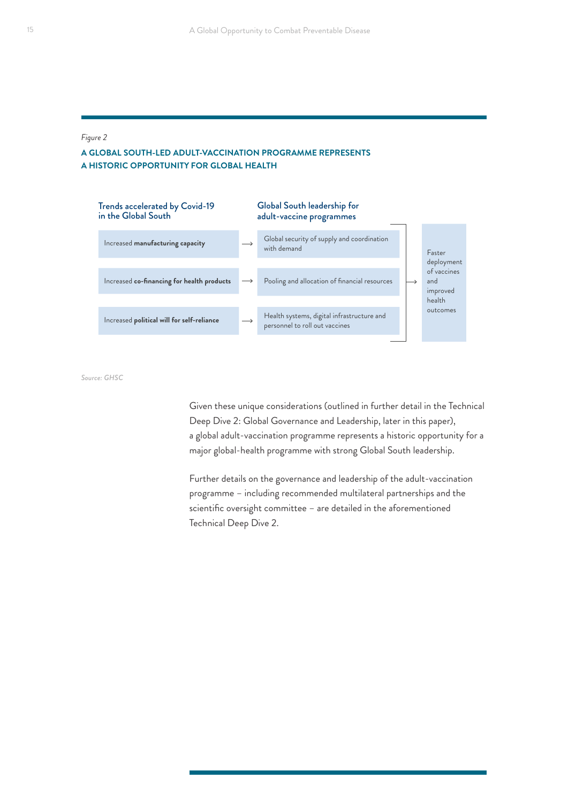#### *Figure 2*

### **A GLOBAL SOUTH-LED ADULT-VACCINATION PROGRAMME REPRESENTS A HISTORIC OPPORTUNITY FOR GLOBAL HEALTH**



*Source: GHSC*

Given these unique considerations (outlined in further detail in the Technical Deep Dive 2: Global Governance and Leadership, later in this paper), a global adult-vaccination programme represents a historic opportunity for a major global-health programme with strong Global South leadership.

Further details on the governance and leadership of the adult-vaccination programme – including recommended multilateral partnerships and the scientific oversight committee – are detailed in the aforementioned Technical Deep Dive 2.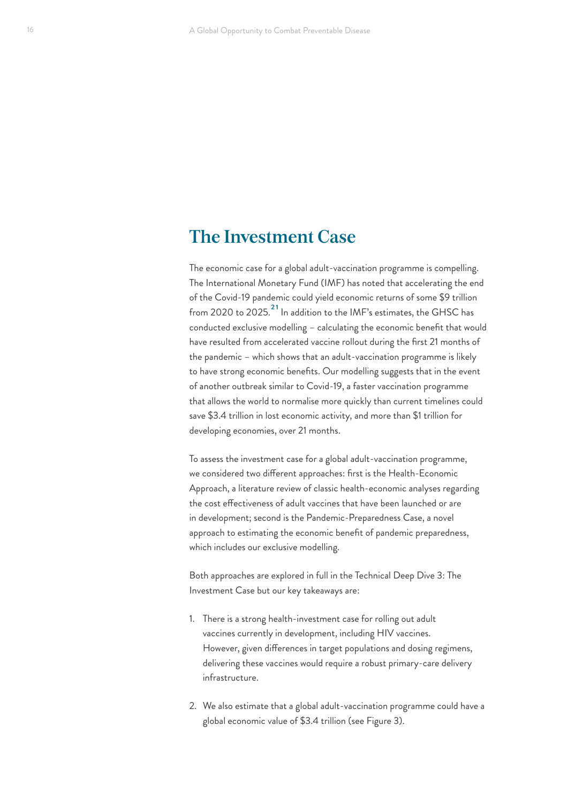## <span id="page-15-0"></span>**The Investment Case**

The economic case for a global adult-vaccination programme is compelling. The International Monetary Fund (IMF) has noted that accelerating the end of the Covid-19 pandemic could yield economic returns of some \$9 trillion from 2020 to 2025.<sup>21</sup> In addition to the IMF's estimates, the GHSC has conducted exclusive modelling – calculating the economic benefit that would have resulted from accelerated vaccine rollout during the first 21 months of the pandemic – which shows that an adult-vaccination programme is likely to have strong economic benefits. Our modelling suggests that in the event of another outbreak similar to Covid-19, a faster vaccination programme that allows the world to normalise more quickly than current timelines could save \$3.4 trillion in lost economic activity, and more than \$1 trillion for developing economies, over 21 months.

To assess the investment case for a global adult-vaccination programme, we considered two different approaches: first is the Health-Economic Approach, a literature review of classic health-economic analyses regarding the cost effectiveness of adult vaccines that have been launched or are in development; second is the Pandemic-Preparedness Case, a novel approach to estimating the economic benefit of pandemic preparedness, which includes our exclusive modelling.

Both approaches are explored in full in the Technical Deep Dive 3: The Investment Case but our key takeaways are:

- 1. There is a strong health-investment case for rolling out adult vaccines currently in development, including HIV vaccines. However, given differences in target populations and dosing regimens, delivering these vaccines would require a robust primary-care delivery infrastructure.
- 2. We also estimate that a global adult-vaccination programme could have a global economic value of \$3.4 trillion (see Figure 3).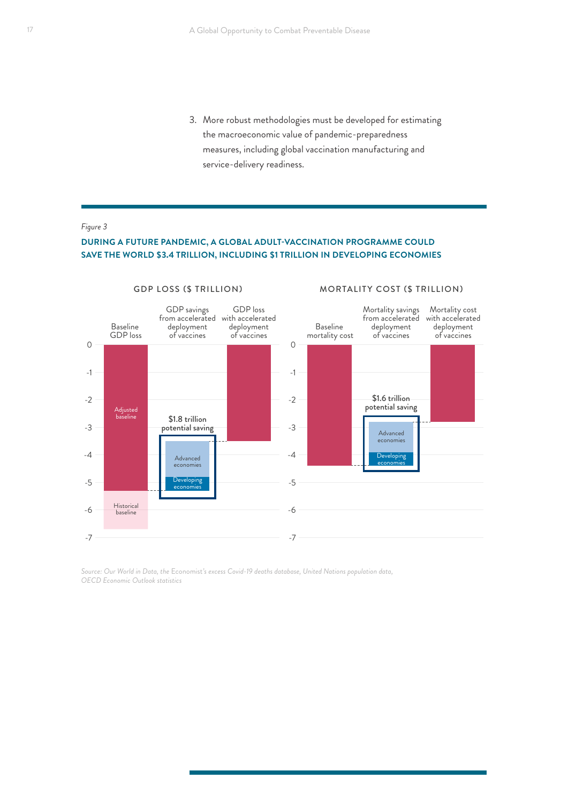3. More robust methodologies must be developed for estimating the macroeconomic value of pandemic-preparedness measures, including global vaccination manufacturing and service-delivery readiness.

#### *Figure 3*

#### **DURING A FUTURE PANDEMIC, A GLOBAL ADULT-VACCINATION PROGRAMME COULD SAVE THE WORLD \$3.4 TRILLION, INCLUDING \$1 TRILLION IN DEVELOPING ECONOMIES**



*Source: Our World in Data, the* Economist*'s excess Covid-19 deaths database, United Nations population data, OECD Economic Outlook statistics*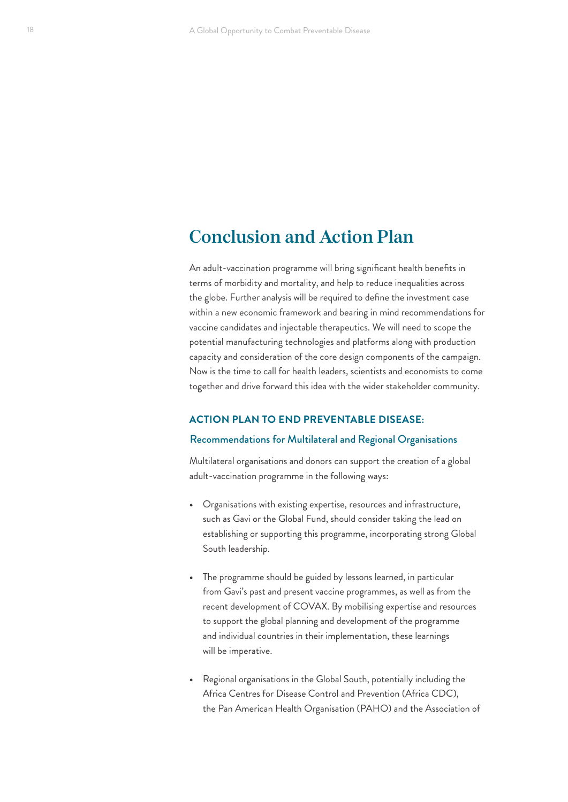# <span id="page-17-0"></span>**Conclusion and Action Plan**

An adult-vaccination programme will bring significant health benefits in terms of morbidity and mortality, and help to reduce inequalities across the globe. Further analysis will be required to define the investment case within a new economic framework and bearing in mind recommendations for vaccine candidates and injectable therapeutics. We will need to scope the potential manufacturing technologies and platforms along with production capacity and consideration of the core design components of the campaign. Now is the time to call for health leaders, scientists and economists to come together and drive forward this idea with the wider stakeholder community.

#### **ACTION PLAN TO END PREVENTABLE DISEASE:**

#### Recommendations for Multilateral and Regional Organisations

Multilateral organisations and donors can support the creation of a global adult-vaccination programme in the following ways:

- **•** Organisations with existing expertise, resources and infrastructure, such as Gavi or the Global Fund, should consider taking the lead on establishing or supporting this programme, incorporating strong Global South leadership.
- **•** The programme should be guided by lessons learned, in particular from Gavi's past and present vaccine programmes, as well as from the recent development of COVAX. By mobilising expertise and resources to support the global planning and development of the programme and individual countries in their implementation, these learnings will be imperative.
- **•** Regional organisations in the Global South, potentially including the Africa Centres for Disease Control and Prevention (Africa CDC), the Pan American Health Organisation (PAHO) and the Association of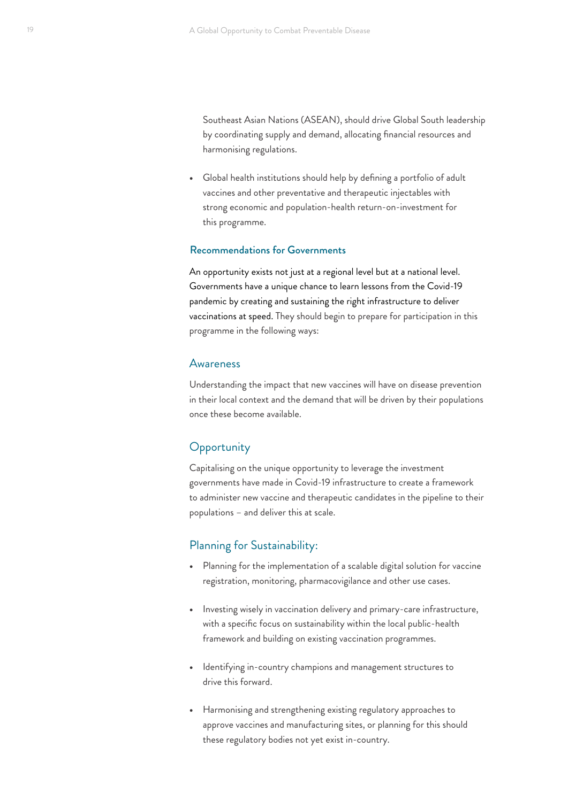Southeast Asian Nations (ASEAN), should drive Global South leadership by coordinating supply and demand, allocating financial resources and harmonising regulations.

**•** Global health institutions should help by defining a portfolio of adult vaccines and other preventative and therapeutic injectables with strong economic and population-health return-on-investment for this programme.

#### Recommendations for Governments

An opportunity exists not just at a regional level but at a national level. Governments have a unique chance to learn lessons from the Covid-19 pandemic by creating and sustaining the right infrastructure to deliver vaccinations at speed. They should begin to prepare for participation in this programme in the following ways:

#### **Awareness**

Understanding the impact that new vaccines will have on disease prevention in their local context and the demand that will be driven by their populations once these become available.

## **Opportunity**

Capitalising on the unique opportunity to leverage the investment governments have made in Covid-19 infrastructure to create a framework to administer new vaccine and therapeutic candidates in the pipeline to their populations – and deliver this at scale.

### Planning for Sustainability:

- **•** Planning for the implementation of a scalable digital solution for vaccine registration, monitoring, pharmacovigilance and other use cases.
- **•** Investing wisely in vaccination delivery and primary-care infrastructure, with a specific focus on sustainability within the local public-health framework and building on existing vaccination programmes.
- **•** Identifying in-country champions and management structures to drive this forward.
- **•** Harmonising and strengthening existing regulatory approaches to approve vaccines and manufacturing sites, or planning for this should these regulatory bodies not yet exist in-country.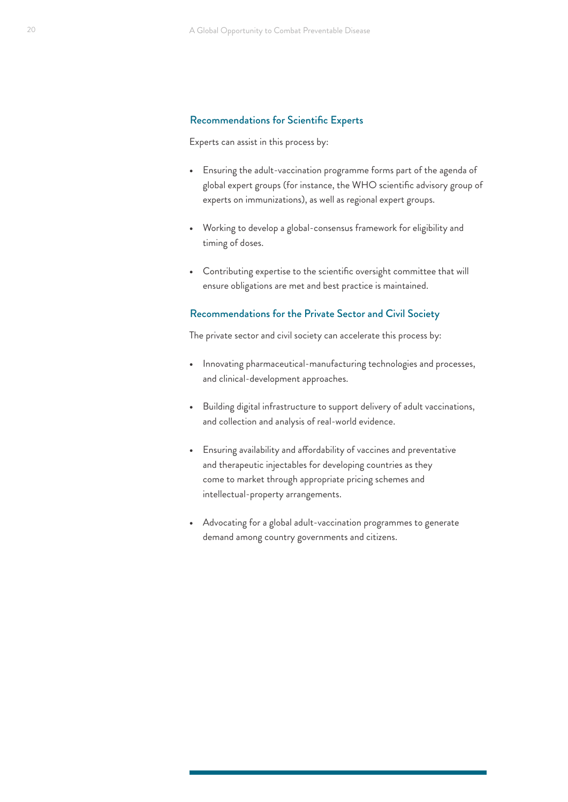#### Recommendations for Scientific Experts

Experts can assist in this process by:

- **•** Ensuring the adult-vaccination programme forms part of the agenda of global expert groups (for instance, the WHO scientific advisory group of experts on immunizations), as well as regional expert groups.
- **•** Working to develop a global-consensus framework for eligibility and timing of doses.
- **•** Contributing expertise to the scientific oversight committee that will ensure obligations are met and best practice is maintained.

#### Recommendations for the Private Sector and Civil Society

The private sector and civil society can accelerate this process by:

- **•** Innovating pharmaceutical-manufacturing technologies and processes, and clinical-development approaches.
- **•** Building digital infrastructure to support delivery of adult vaccinations, and collection and analysis of real-world evidence.
- **•** Ensuring availability and affordability of vaccines and preventative and therapeutic injectables for developing countries as they come to market through appropriate pricing schemes and intellectual-property arrangements.
- **•** Advocating for a global adult-vaccination programmes to generate demand among country governments and citizens.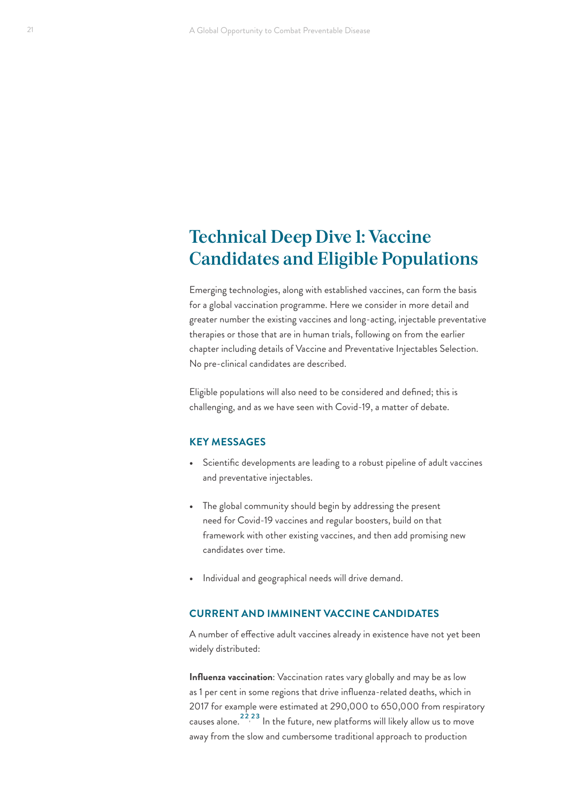# <span id="page-20-0"></span>**Technical Deep Dive 1: Vaccine Candidates and Eligible Populations**

Emerging technologies, along with established vaccines, can form the basis for a global vaccination programme. Here we consider in more detail and greater number the existing vaccines and long-acting, injectable preventative therapies or those that are in human trials, following on from the earlier chapter including details of Vaccine and Preventative Injectables Selection. No pre-clinical candidates are described.

Eligible populations will also need to be considered and defined; this is challenging, and as we have seen with Covid-19, a matter of debate.

#### **KEY MESSAGES**

- **•** Scientific developments are leading to a robust pipeline of adult vaccines and preventative injectables.
- **•** The global community should begin by addressing the present need for Covid-19 vaccines and regular boosters, build on that framework with other existing vaccines, and then add promising new candidates over time.
- **•** Individual and geographical needs will drive demand.

### **CURRENT AND IMMINENT VACCINE CANDIDATES**

A number of effective adult vaccines already in existence have not yet been widely distributed:

**Influenza vaccination**: Vaccination rates vary globally and may be as low as 1 per cent in some regions that drive influenza-related deaths, which in 2017 for example were estimated at 290,000 to 650,000 from respiratory causes alone.<sup>22,23</sup> In the future, new platforms will likely allow us to move away from the slow and cumbersome traditional approach to production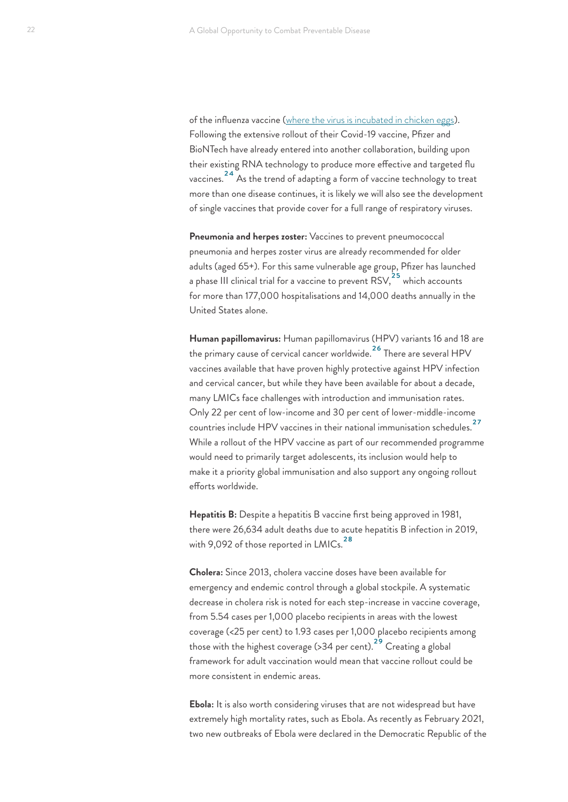<span id="page-21-0"></span>of the influenza vaccine ([where the virus is incubated in chicken eggs](https://www.cdc.gov/flu/prevent/how-fluvaccine-made.htm)). Following the extensive rollout of their Covid-19 vaccine, Pfizer and BioNTech have already entered into another collaboration, building upon their existing RNA technology to produce more effective and targeted flu vaccines.[24](#page-39-0) As the trend of adapting a form of vaccine technology to treat more than one disease continues, it is likely we will also see the development of single vaccines that provide cover for a full range of respiratory viruses.

**Pneumonia and herpes zoster:** Vaccines to prevent pneumococcal pneumonia and herpes zoster virus are already recommended for older adults (aged 65+). For this same vulnerable age group, Pfizer has launched a phase III clinical trial for a vaccine to prevent  $RSV<sub>1</sub><sup>25</sup>$  $RSV<sub>1</sub><sup>25</sup>$  $RSV<sub>1</sub><sup>25</sup>$  which accounts for more than 177,000 hospitalisations and 14,000 deaths annually in the United States alone.

**Human papillomavirus:** Human papillomavirus (HPV) variants 16 and 18 are the primary cause of cervical cancer worldwide.[26](#page-39-0) There are several HPV vaccines available that have proven highly protective against HPV infection and cervical cancer, but while they have been available for about a decade, many LMICs face challenges with introduction and immunisation rates. Only 22 per cent of low-income and 30 per cent of lower-middle-income countries include HPV vaccines in their national immunisation schedules.[27](#page-39-0) While a rollout of the HPV vaccine as part of our recommended programme would need to primarily target adolescents, its inclusion would help to make it a priority global immunisation and also support any ongoing rollout efforts worldwide.

**Hepatitis B:** Despite a hepatitis B vaccine first being approved in 1981, there were 26,634 adult deaths due to acute hepatitis B infection in 2019, with 9,092 of those reported in  $LMICs.<sup>28</sup>$  $LMICs.<sup>28</sup>$  $LMICs.<sup>28</sup>$ 

**Cholera:** Since 2013, cholera vaccine doses have been available for emergency and endemic control through a global stockpile. A systematic decrease in cholera risk is noted for each step-increase in vaccine coverage, from 5.54 cases per 1,000 placebo recipients in areas with the lowest coverage (<25 per cent) to 1.93 cases per 1,000 placebo recipients among those with the highest coverage (> 34 per cent).<sup>29</sup> Creating a global framework for adult vaccination would mean that vaccine rollout could be more consistent in endemic areas.

**Ebola:** It is also worth considering viruses that are not widespread but have extremely high mortality rates, such as Ebola. As recently as February 2021, two new outbreaks of Ebola were declared in the Democratic Republic of the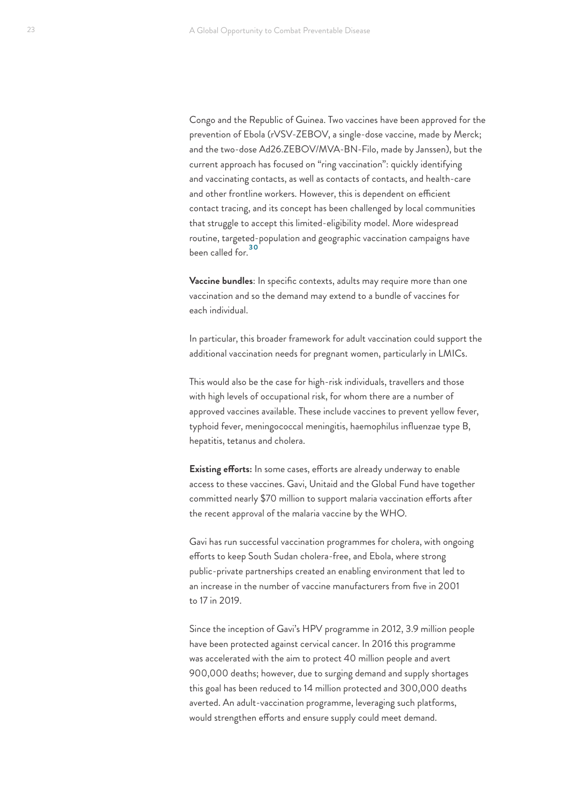<span id="page-22-0"></span>Congo and the Republic of Guinea. Two vaccines have been approved for the prevention of Ebola (rVSV-ZEBOV, a single-dose vaccine, made by Merck; and the two-dose Ad26.ZEBOV/MVA-BN-Filo, made by Janssen), but the current approach has focused on "ring vaccination": quickly identifying and vaccinating contacts, as well as contacts of contacts, and health-care and other frontline workers. However, this is dependent on efficient contact tracing, and its concept has been challenged by local communities that struggle to accept this limited-eligibility model. More widespread routine, targeted-population and geographic vaccination campaigns have been called for 30

**Vaccine bundles**: In specific contexts, adults may require more than one vaccination and so the demand may extend to a bundle of vaccines for each individual.

In particular, this broader framework for adult vaccination could support the additional vaccination needs for pregnant women, particularly in LMICs.

This would also be the case for high-risk individuals, travellers and those with high levels of occupational risk, for whom there are a number of approved vaccines available. These include vaccines to prevent yellow fever, typhoid fever, meningococcal meningitis, haemophilus influenzae type B, hepatitis, tetanus and cholera.

**Existing efforts:** In some cases, efforts are already underway to enable access to these vaccines. Gavi, Unitaid and the Global Fund have together committed nearly \$70 million to support malaria vaccination efforts after the recent approval of the malaria vaccine by the WHO.

Gavi has run successful vaccination programmes for cholera, with ongoing efforts to keep South Sudan cholera-free, and Ebola, where strong public-private partnerships created an enabling environment that led to an increase in the number of vaccine manufacturers from five in 2001 to 17 in 2019.

Since the inception of Gavi's HPV programme in 2012, 3.9 million people have been protected against cervical cancer. In 2016 this programme was accelerated with the aim to protect 40 million people and avert 900,000 deaths; however, due to surging demand and supply shortages this goal has been reduced to 14 million protected and 300,000 deaths averted. An adult-vaccination programme, leveraging such platforms, would strengthen efforts and ensure supply could meet demand.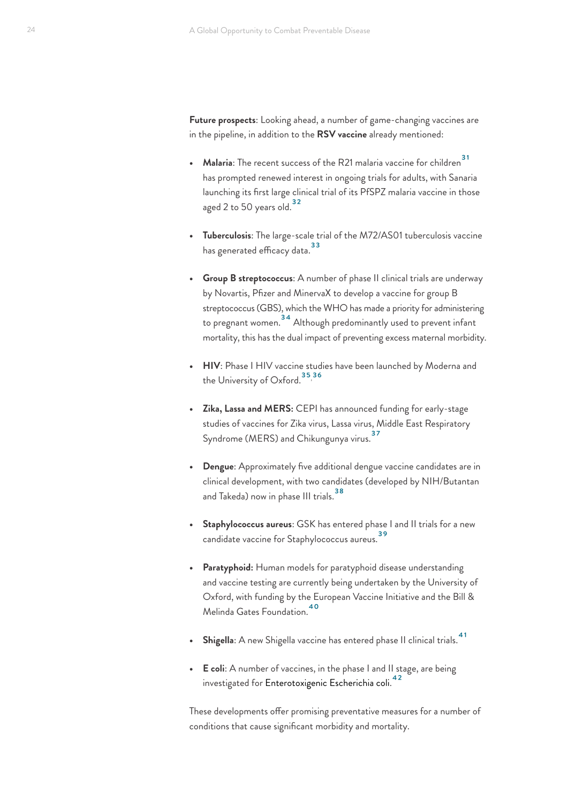<span id="page-23-0"></span>**Future prospects**: Looking ahead, a number of game-changing vaccines are in the pipeline, in addition to the **RSV vaccine** already mentioned:

- **Malaria**: The recent success of the R21 malaria vaccine for children<sup>[31](#page-39-0)</sup> has prompted renewed interest in ongoing trials for adults, with Sanaria launching its first large clinical trial of its PfSPZ malaria vaccine in those aged 2 to 50 years old.<sup>[32](#page-39-0)</sup>
- **• Tuberculosis**: The large-scale trial of the M72/AS01 tuberculosis vaccine <sup>[33](#page-39-0)</sup><br>has generated efficacy data.
- **• Group B streptococcus**: A number of phase II clinical trials are underway by Novartis, Pfizer and MinervaX to develop a vaccine for group B streptococcus (GBS), which the WHO has made a priority for administering to pregnant women. [34](#page-39-0) Although predominantly used to prevent infant mortality, this has the dual impact of preventing excess maternal morbidity.
- **• HIV**: Phase I HIV vaccine studies have been launched by Moderna and the University of Oxford. <sup>[35,](#page-39-0)[36](#page-39-0)</sup>
- **• Zika, Lassa and MERS:** CEPI has announced funding for early-stage studies of vaccines for Zika virus, Lassa virus, Middle East Respiratory Syndrome (MERS) and Chikungunya virus.<sup>[37](#page-39-0)</sup>
- **• Dengue**: Approximately five additional dengue vaccine candidates are in clinical development, with two candidates (developed by NIH/Butantan and Takeda) now in phase III trials.<sup>38</sup>
- **• Staphylococcus aureus**: GSK has entered phase I and II trials for a new candidate vaccine for Staphylococcus aureus[.39](#page-39-0)
- **• Paratyphoid:** Human models for paratyphoid disease understanding and vaccine testing are currently being undertaken by the University of Oxford, with funding by the European Vaccine Initiative and the Bill & Melinda Gates Foundation[.40](#page-39-0)
- **• Shigella**: A new Shigella vaccine has entered phase II clinical trials[.41](#page-39-0)
- **• E coli**: A number of vaccines, in the phase I and II stage, are being investigated for Enterotoxigenic Escherichia coli.<sup>[42](#page-39-0)</sup>

These developments offer promising preventative measures for a number of conditions that cause significant morbidity and mortality.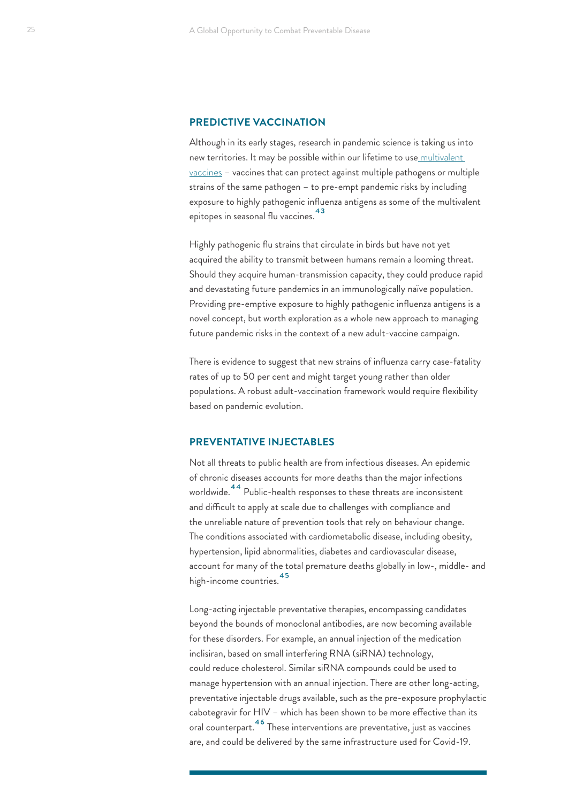#### <span id="page-24-0"></span>**PREDICTIVE VACCINATION**

Although in its early stages, research in pandemic science is taking us into new territories. It may be possible within our lifetime to use [multivalent](https://www.ncbi.nlm.nih.gov/pmc/articles/PMC5216423/)  [vaccines](https://www.ncbi.nlm.nih.gov/pmc/articles/PMC5216423/) – vaccines that can protect against multiple pathogens or multiple strains of the same pathogen – to pre-empt pandemic risks by including exposure to highly pathogenic influenza antigens as some of the multivalent epitopes in seasonal flu vaccines.<sup>43</sup>

Highly pathogenic flu strains that circulate in birds but have not yet acquired the ability to transmit between humans remain a looming threat. Should they acquire human-transmission capacity, they could produce rapid and devastating future pandemics in an immunologically naïve population. Providing pre-emptive exposure to highly pathogenic influenza antigens is a novel concept, but worth exploration as a whole new approach to managing future pandemic risks in the context of a new adult-vaccine campaign.

There is evidence to suggest that new strains of influenza carry case-fatality rates of up to 50 per cent and might target young rather than older populations. A robust adult-vaccination framework would require flexibility based on pandemic evolution.

#### **PREVENTATIVE INJECTABLES**

Not all threats to public health are from infectious diseases. An epidemic of chronic diseases accounts for more deaths than the major infections worldwide.<sup>44</sup> Public-health responses to these threats are inconsistent and difficult to apply at scale due to challenges with compliance and the unreliable nature of prevention tools that rely on behaviour change. The conditions associated with cardiometabolic disease, including obesity, hypertension, lipid abnormalities, diabetes and cardiovascular disease, account for many of the total premature deaths globally in low-, middle- and high-income countries.[45](#page-39-0)

Long-acting injectable preventative therapies, encompassing candidates beyond the bounds of monoclonal antibodies, are now becoming available for these disorders. For example, an annual injection of the medication inclisiran, based on small interfering RNA (siRNA) technology, could reduce cholesterol. Similar siRNA compounds could be used to manage hypertension with an annual injection. There are other long-acting, preventative injectable drugs available, such as the pre-exposure prophylactic cabotegravir for HIV – which has been shown to be more effective than its oral counterpart.[46](#page-39-0) These interventions are preventative, just as vaccines are, and could be delivered by the same infrastructure used for Covid-19.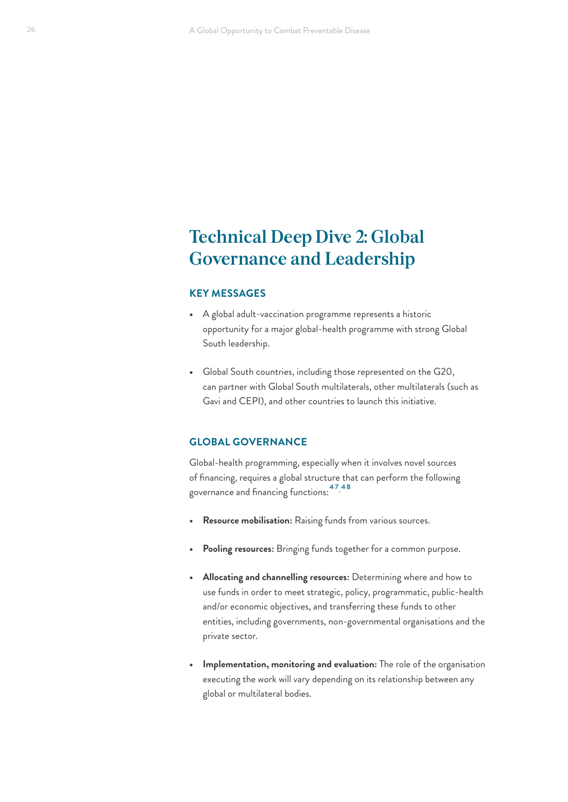# <span id="page-25-0"></span>**Technical Deep Dive 2: Global Governance and Leadership**

### **KEY MESSAGES**

- **•** A global adult-vaccination programme represents a historic opportunity for a major global-health programme with strong Global South leadership.
- **•** Global South countries, including those represented on the G20, can partner with Global South multilaterals, other multilaterals (such as Gavi and CEPI), and other countries to launch this initiative.

#### **GLOBAL GOVERNANCE**

Global-health programming, especially when it involves novel sources of financing, requires a global structure that can perform the following governance and financing functions:[47,](#page-40-0) [48](#page-40-0)

- **• Resource mobilisation:** Raising funds from various sources.
- **• Pooling resources:** Bringing funds together for a common purpose.
- **• Allocating and channelling resources:** Determining where and how to use funds in order to meet strategic, policy, programmatic, public-health and/or economic objectives, and transferring these funds to other entities, including governments, non-governmental organisations and the private sector.
- **• Implementation, monitoring and evaluation:** The role of the organisation executing the work will vary depending on its relationship between any global or multilateral bodies.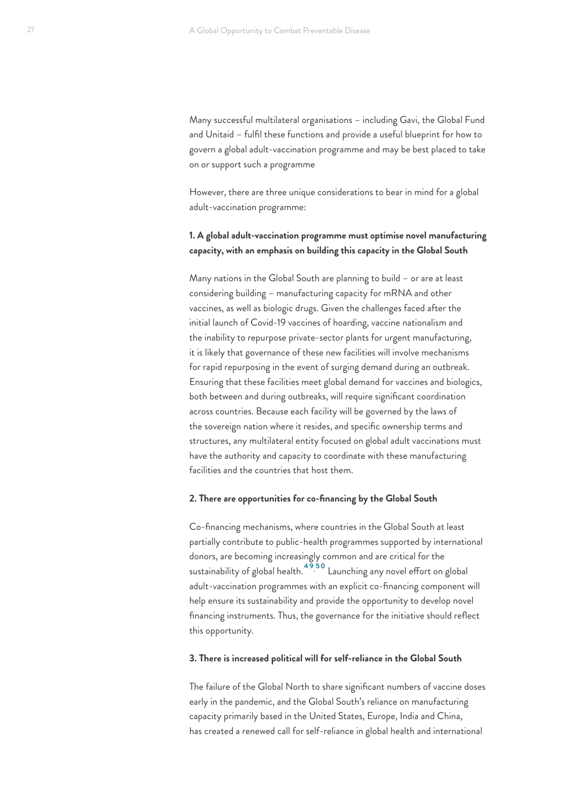<span id="page-26-0"></span>Many successful multilateral organisations – including Gavi, the Global Fund and Unitaid – fulfil these functions and provide a useful blueprint for how to govern a global adult-vaccination programme and may be best placed to take on or support such a programme

However, there are three unique considerations to bear in mind for a global adult-vaccination programme:

### **1. A global adult-vaccination programme must optimise novel manufacturing capacity, with an emphasis on building this capacity in the Global South**

Many nations in the Global South are planning to build – or are at least considering building – manufacturing capacity for mRNA and other vaccines, as well as biologic drugs. Given the challenges faced after the initial launch of Covid-19 vaccines of hoarding, vaccine nationalism and the inability to repurpose private-sector plants for urgent manufacturing, it is likely that governance of these new facilities will involve mechanisms for rapid repurposing in the event of surging demand during an outbreak. Ensuring that these facilities meet global demand for vaccines and biologics, both between and during outbreaks, will require significant coordination across countries. Because each facility will be governed by the laws of the sovereign nation where it resides, and specific ownership terms and structures, any multilateral entity focused on global adult vaccinations must have the authority and capacity to coordinate with these manufacturing facilities and the countries that host them.

#### **2. There are opportunities for co-financing by the Global South**

Co-financing mechanisms, where countries in the Global South at least partially contribute to public-health programmes supported by international donors, are becoming increasingly common and are critical for the sustainability of global health.<sup>49,[50](#page-40-0)</sup> Launching any novel effort on global adult-vaccination programmes with an explicit co-financing component will help ensure its sustainability and provide the opportunity to develop novel financing instruments. Thus, the governance for the initiative should reflect this opportunity.

#### **3. There is increased political will for self-reliance in the Global South**

The failure of the Global North to share significant numbers of vaccine doses early in the pandemic, and the Global South's reliance on manufacturing capacity primarily based in the United States, Europe, India and China, has created a renewed call for self-reliance in global health and international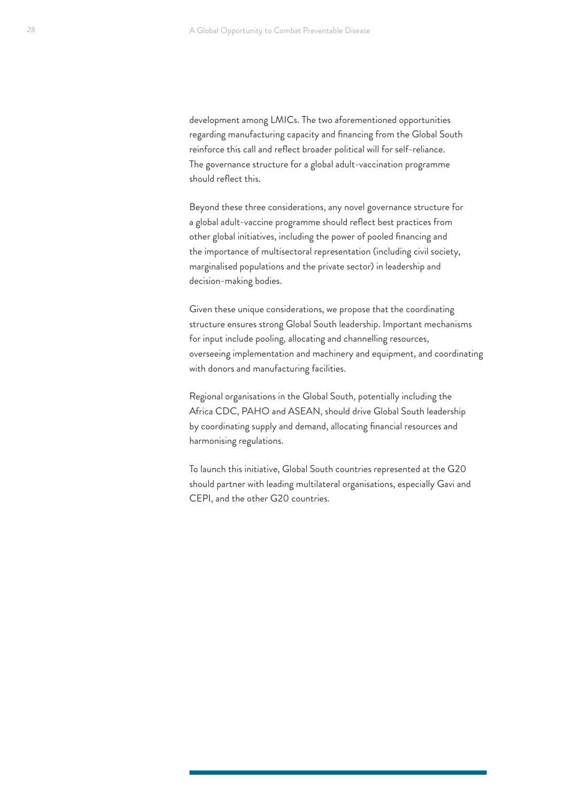development among LMICs. The two aforementioned opportunities regarding manufacturing capacity and financing from the Global South reinforce this call and reflect broader political will for self-reliance. The governance structure for a global adult-vaccination programme should reflect this.

Beyond these three considerations, any novel governance structure for a global adult-vaccine programme should reflect best practices from other global initiatives, including the power of pooled financing and the importance of multisectoral representation (including civil society, marginalised populations and the private sector) in leadership and decision-making bodies.

Given these unique considerations, we propose that the coordinating structure ensures strong Global South leadership. Important mechanisms for input include pooling, allocating and channelling resources, overseeing implementation and machinery and equipment, and coordinating with donors and manufacturing facilities.

Regional organisations in the Global South, potentially including the Africa CDC, PAHO and ASEAN, should drive Global South leadership by coordinating supply and demand, allocating financial resources and harmonising regulations.

To launch this initiative, Global South countries represented at the G20 should partner with leading multilateral organisations, especially Gavi and CEPI, and the other G20 countries.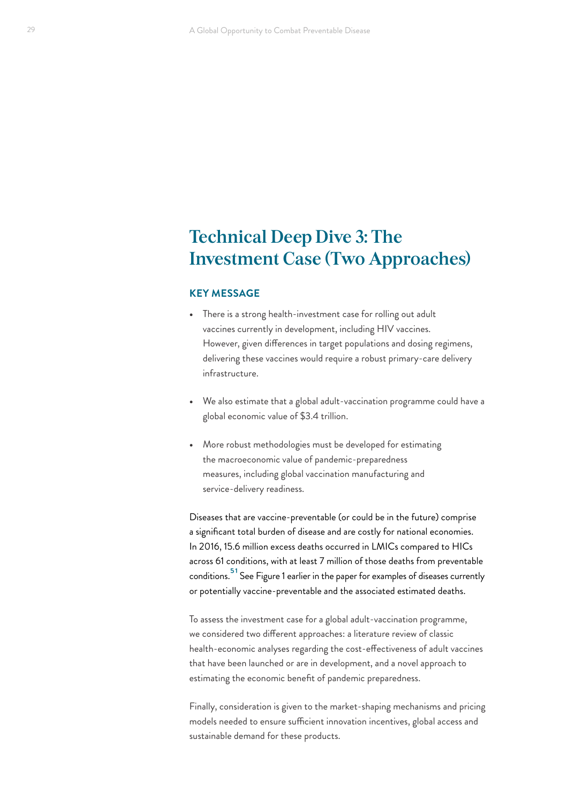# <span id="page-28-0"></span>**Technical Deep Dive 3: The Investment Case (Two Approaches)**

#### **KEY MESSAGE**

- **•** There is a strong health-investment case for rolling out adult vaccines currently in development, including HIV vaccines. However, given differences in target populations and dosing regimens, delivering these vaccines would require a robust primary-care delivery infrastructure.
- **•** We also estimate that a global adult-vaccination programme could have a global economic value of \$3.4 trillion.
- **•** More robust methodologies must be developed for estimating the macroeconomic value of pandemic-preparedness measures, including global vaccination manufacturing and service-delivery readiness.

Diseases that are vaccine-preventable (or could be in the future) comprise a significant total burden of disease and are costly for national economies. In 2016, 15.6 million excess deaths occurred in LMICs compared to HICs across 61 conditions, with at least 7 million of those deaths from preventable conditions.<sup>51</sup> See Figure 1 earlier in the paper for examples of diseases currently or potentially vaccine-preventable and the associated estimated deaths.

To assess the investment case for a global adult-vaccination programme, we considered two different approaches: a literature review of classic health-economic analyses regarding the cost-effectiveness of adult vaccines that have been launched or are in development, and a novel approach to estimating the economic benefit of pandemic preparedness.

Finally, consideration is given to the market-shaping mechanisms and pricing models needed to ensure sufficient innovation incentives, global access and sustainable demand for these products.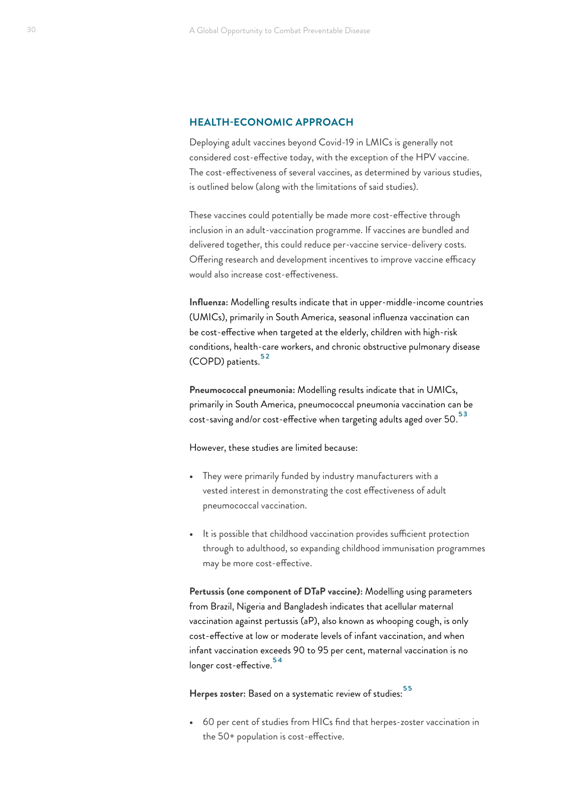#### <span id="page-29-0"></span>**HEALTH-ECONOMIC APPROACH**

Deploying adult vaccines beyond Covid-19 in LMICs is generally not considered cost-effective today, with the exception of the HPV vaccine. The cost-effectiveness of several vaccines, as determined by various studies, is outlined below (along with the limitations of said studies).

These vaccines could potentially be made more cost-effective through inclusion in an adult-vaccination programme. If vaccines are bundled and delivered together, this could reduce per-vaccine service-delivery costs. Offering research and development incentives to improve vaccine efficacy would also increase cost-effectiveness.

**Influenza:** Modelling results indicate that in upper-middle-income countries (UMICs), primarily in South America, seasonal influenza vaccination can be cost-effective when targeted at the elderly, children with high-risk conditions, health-care workers, and chronic obstructive pulmonary disease (COPD) patients.<sup>[52](#page-40-0)</sup>

**Pneumococcal pneumonia:** Modelling results indicate that in UMICs, primarily in South America, pneumococcal pneumonia vaccination can be cost-saving and/or cost-effective when targeting adults aged over 50.<sup>53</sup>

However, these studies are limited because:

- **•** They were primarily funded by industry manufacturers with a vested interest in demonstrating the cost effectiveness of adult pneumococcal vaccination.
- **•** It is possible that childhood vaccination provides sufficient protection through to adulthood, so expanding childhood immunisation programmes may be more cost-effective.

**Pertussis (one component of DTaP vaccine):** Modelling using parameters from Brazil, Nigeria and Bangladesh indicates that acellular maternal vaccination against pertussis (aP), also known as whooping cough, is only cost-effective at low or moderate levels of infant vaccination, and when infant vaccination exceeds 90 to 95 per cent, maternal vaccination is no longer cost-effective.<sup>54</sup>

Herpes zoster: Based on a systematic review of studies:<sup>55</sup>

**•** 60 per cent of studies from HICs find that herpes-zoster vaccination in the 50+ population is cost-effective.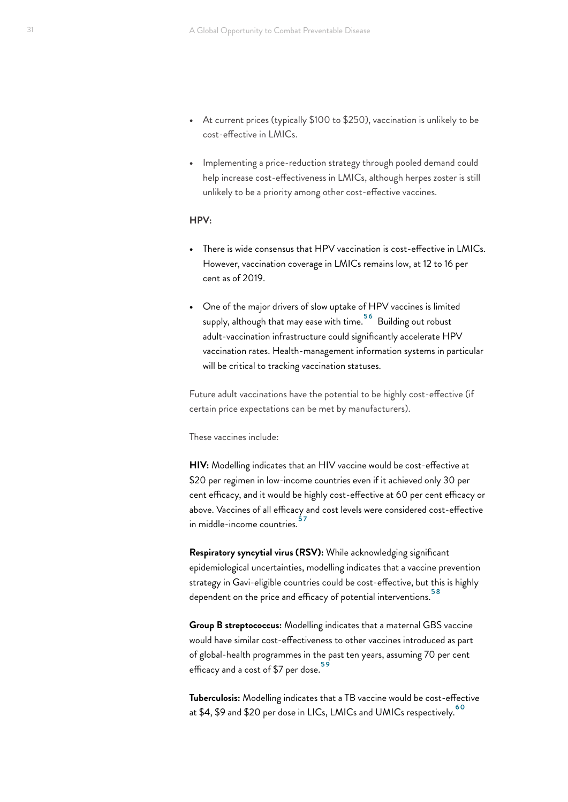- <span id="page-30-0"></span>**•** At current prices (typically \$100 to \$250), vaccination is unlikely to be cost-effective in LMICs.
- **•** Implementing a price-reduction strategy through pooled demand could help increase cost-effectiveness in LMICs, although herpes zoster is still unlikely to be a priority among other cost-effective vaccines.

#### **HPV:**

- **•** There is wide consensus that HPV vaccination is cost-effective in LMICs. However, vaccination coverage in LMICs remains low, at 12 to 16 per cent as of 2019.
- **•** One of the major drivers of slow uptake of HPV vaccines is limited supply, although that may ease with time.<sup>[56](#page-40-0)</sup> Building out robust adult-vaccination infrastructure could significantly accelerate HPV vaccination rates. Health-management information systems in particular will be critical to tracking vaccination statuses.

Future adult vaccinations have the potential to be highly cost-effective (if certain price expectations can be met by manufacturers).

These vaccines include:

**HIV:** Modelling indicates that an HIV vaccine would be cost-effective at \$20 per regimen in low-income countries even if it achieved only 30 per cent efficacy, and it would be highly cost-effective at 60 per cent efficacy or above. Vaccines of all efficacy and cost levels were considered cost-effective in middle-income countries.<sup>5</sup>

**Respiratory syncytial virus (RSV):** While acknowledging significant epidemiological uncertainties, modelling indicates that a vaccine prevention strategy in Gavi-eligible countries could be cost-effective, but this is highly dependent on the price and efficacy of potential interventions.<sup>[58](#page-40-0)</sup>

**Group B streptococcus:** Modelling indicates that a maternal GBS vaccine would have similar cost-effectiveness to other vaccines introduced as part of global-health programmes in the past ten years, assuming 70 per cent efficacy and a cost of \$7 per dose.<sup>[59](#page-40-0)</sup>

**Tuberculosis:** Modelling indicates that a TB vaccine would be cost-effective at \$4, \$9 and \$20 per dose in LICs, LMICs and UMICs respectively.<sup>60</sup>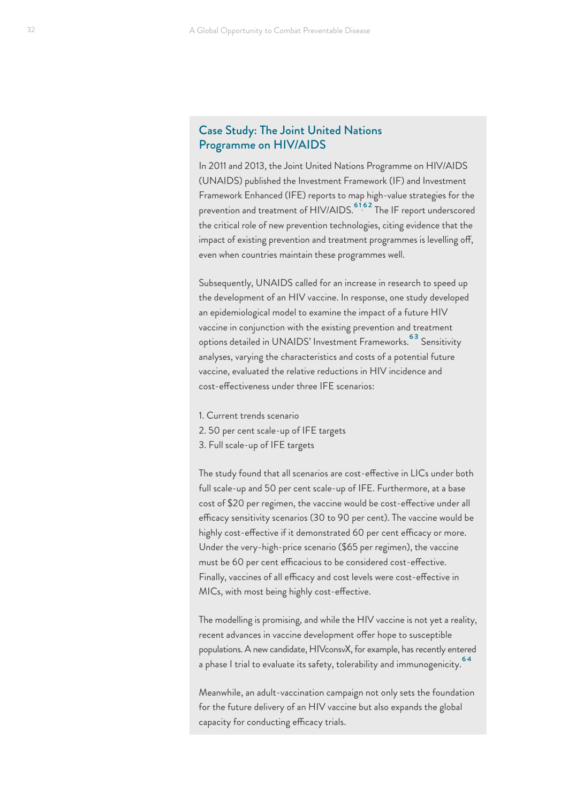### <span id="page-31-0"></span>Case Study: The Joint United Nations Programme on HIV/AIDS

In 2011 and 2013, the Joint United Nations Programme on HIV/AIDS (UNAIDS) published the Investment Framework (IF) and Investment Framework Enhanced (IFE) reports to map high-value strategies for the prevention and treatment of HIV/AIDS.<sup>[61,](#page-40-0)[62](#page-40-0)</sup> The IF report underscored the critical role of new prevention technologies, citing evidence that the impact of existing prevention and treatment programmes is levelling off, even when countries maintain these programmes well.

Subsequently, UNAIDS called for an increase in research to speed up the development of an HIV vaccine. In response, one study developed an epidemiological model to examine the impact of a future HIV vaccine in conjunction with the existing prevention and treatment options detailed in UNAIDS' Investment Frameworks.<sup>[63](#page-40-0)</sup> Sensitivity analyses, varying the characteristics and costs of a potential future vaccine, evaluated the relative reductions in HIV incidence and cost-effectiveness under three IFE scenarios:

- 1. Current trends scenario
- 2. 50 per cent scale-up of IFE targets
- 3. Full scale-up of IFE targets

The study found that all scenarios are cost-effective in LICs under both full scale-up and 50 per cent scale-up of IFE. Furthermore, at a base cost of \$20 per regimen, the vaccine would be cost-effective under all efficacy sensitivity scenarios (30 to 90 per cent). The vaccine would be highly cost-effective if it demonstrated 60 per cent efficacy or more. Under the very-high-price scenario (\$65 per regimen), the vaccine must be 60 per cent efficacious to be considered cost-effective. Finally, vaccines of all efficacy and cost levels were cost-effective in MICs, with most being highly cost-effective.

The modelling is promising, and while the HIV vaccine is not yet a reality, recent advances in vaccine development offer hope to susceptible populations. A new candidate, HIVconsvX, for example, has recently entered a phase I trial to evaluate its safety, tolerability and immunogenicity.<sup>[64](#page-40-0)</sup>

Meanwhile, an adult-vaccination campaign not only sets the foundation for the future delivery of an HIV vaccine but also expands the global capacity for conducting efficacy trials.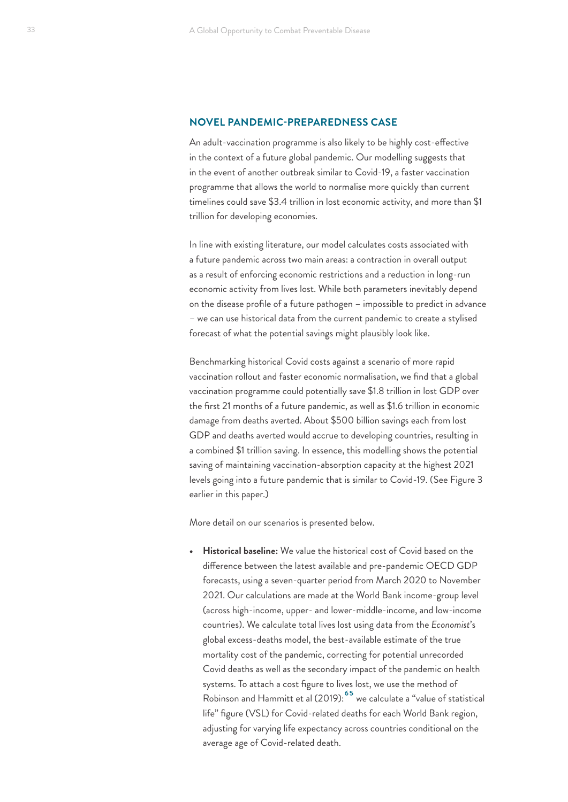#### <span id="page-32-0"></span>**NOVEL PANDEMIC-PREPAREDNESS CASE**

An adult-vaccination programme is also likely to be highly cost-effective in the context of a future global pandemic. Our modelling suggests that in the event of another outbreak similar to Covid-19, a faster vaccination programme that allows the world to normalise more quickly than current timelines could save \$3.4 trillion in lost economic activity, and more than \$1 trillion for developing economies.

In line with existing literature, our model calculates costs associated with a future pandemic across two main areas: a contraction in overall output as a result of enforcing economic restrictions and a reduction in long-run economic activity from lives lost. While both parameters inevitably depend on the disease profile of a future pathogen – impossible to predict in advance – we can use historical data from the current pandemic to create a stylised forecast of what the potential savings might plausibly look like.

Benchmarking historical Covid costs against a scenario of more rapid vaccination rollout and faster economic normalisation, we find that a global vaccination programme could potentially save \$1.8 trillion in lost GDP over the first 21 months of a future pandemic, as well as \$1.6 trillion in economic damage from deaths averted. About \$500 billion savings each from lost GDP and deaths averted would accrue to developing countries, resulting in a combined \$1 trillion saving. In essence, this modelling shows the potential saving of maintaining vaccination-absorption capacity at the highest 2021 levels going into a future pandemic that is similar to Covid-19. (See Figure 3 earlier in this paper.)

More detail on our scenarios is presented below.

**• Historical baseline:** We value the historical cost of Covid based on the difference between the latest available and pre-pandemic OECD GDP forecasts, using a seven-quarter period from March 2020 to November 2021. Our calculations are made at the World Bank income-group level (across high-income, upper- and lower-middle-income, and low-income countries). We calculate total lives lost using data from the *Economist*'s global excess-deaths model, the best-available estimate of the true mortality cost of the pandemic, correcting for potential unrecorded Covid deaths as well as the secondary impact of the pandemic on health systems. To attach a cost figure to lives lost, we use the method of Robinson and Hammitt et al (2019):<sup>[65](#page-40-0)</sup> we calculate a "value of statistical life" figure (VSL) for Covid-related deaths for each World Bank region, adjusting for varying life expectancy across countries conditional on the average age of Covid-related death.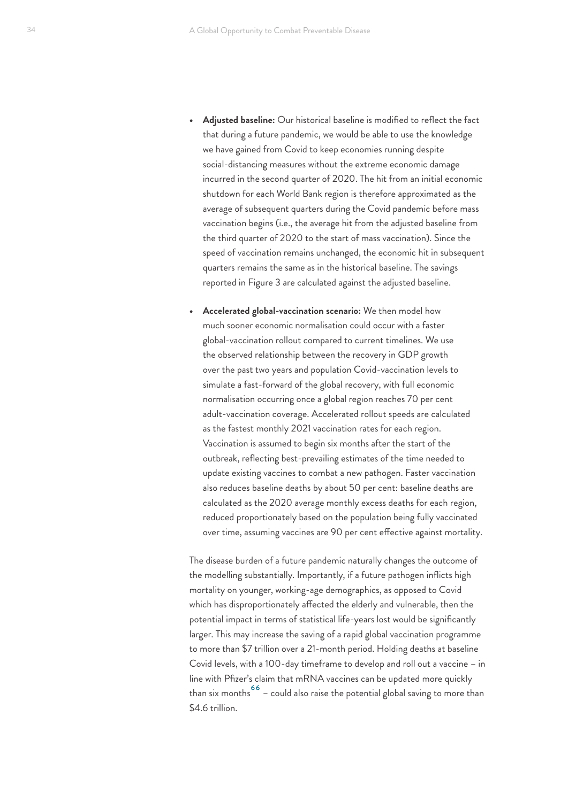- <span id="page-33-0"></span>**• Adjusted baseline:** Our historical baseline is modified to reflect the fact that during a future pandemic, we would be able to use the knowledge we have gained from Covid to keep economies running despite social-distancing measures without the extreme economic damage incurred in the second quarter of 2020. The hit from an initial economic shutdown for each World Bank region is therefore approximated as the average of subsequent quarters during the Covid pandemic before mass vaccination begins (i.e., the average hit from the adjusted baseline from the third quarter of 2020 to the start of mass vaccination). Since the speed of vaccination remains unchanged, the economic hit in subsequent quarters remains the same as in the historical baseline. The savings reported in Figure 3 are calculated against the adjusted baseline.
- **• Accelerated global-vaccination scenario:** We then model how much sooner economic normalisation could occur with a faster global-vaccination rollout compared to current timelines. We use the observed relationship between the recovery in GDP growth over the past two years and population Covid-vaccination levels to simulate a fast-forward of the global recovery, with full economic normalisation occurring once a global region reaches 70 per cent adult-vaccination coverage. Accelerated rollout speeds are calculated as the fastest monthly 2021 vaccination rates for each region. Vaccination is assumed to begin six months after the start of the outbreak, reflecting best-prevailing estimates of the time needed to update existing vaccines to combat a new pathogen. Faster vaccination also reduces baseline deaths by about 50 per cent: baseline deaths are calculated as the 2020 average monthly excess deaths for each region, reduced proportionately based on the population being fully vaccinated over time, assuming vaccines are 90 per cent effective against mortality.

The disease burden of a future pandemic naturally changes the outcome of the modelling substantially. Importantly, if a future pathogen inflicts high mortality on younger, working-age demographics, as opposed to Covid which has disproportionately affected the elderly and vulnerable, then the potential impact in terms of statistical life-years lost would be significantly larger. This may increase the saving of a rapid global vaccination programme to more than \$7 trillion over a 21-month period. Holding deaths at baseline Covid levels, with a 100-day timeframe to develop and roll out a vaccine – in line with Pfizer's claim that mRNA vaccines can be updated more quickly than six months  $^{66}$  – could also raise the potential global saving to more than \$4.6 trillion.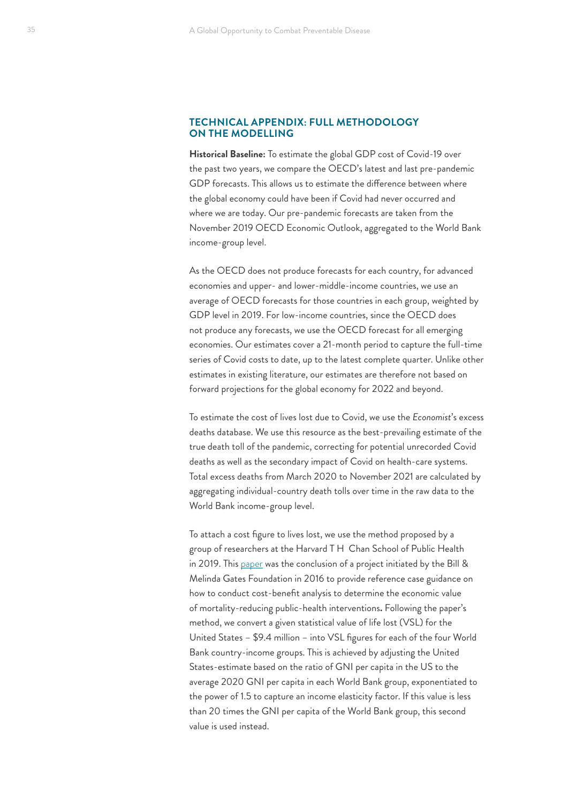### **TECHNICAL APPENDIX: FULL METHODOLOGY ON THE MODELLING**

**Historical Baseline:** To estimate the global GDP cost of Covid-19 over the past two years, we compare the OECD's latest and last pre-pandemic GDP forecasts. This allows us to estimate the difference between where the global economy could have been if Covid had never occurred and where we are today. Our pre-pandemic forecasts are taken from the November 2019 OECD Economic Outlook, aggregated to the World Bank income-group level.

As the OECD does not produce forecasts for each country, for advanced economies and upper- and lower-middle-income countries, we use an average of OECD forecasts for those countries in each group, weighted by GDP level in 2019. For low-income countries, since the OECD does not produce any forecasts, we use the OECD forecast for all emerging economies. Our estimates cover a 21-month period to capture the full-time series of Covid costs to date, up to the latest complete quarter. Unlike other estimates in existing literature, our estimates are therefore not based on forward projections for the global economy for 2022 and beyond.

To estimate the cost of lives lost due to Covid, we use the *Economist*'s excess deaths database. We use this resource as the best-prevailing estimate of the true death toll of the pandemic, correcting for potential unrecorded Covid deaths as well as the secondary impact of Covid on health-care systems. Total excess deaths from March 2020 to November 2021 are calculated by aggregating individual-country death tolls over time in the raw data to the World Bank income-group level.

To attach a cost figure to lives lost, we use the method proposed by a group of researchers at the Harvard T H Chan School of Public Health in 2019. This [paper](https://cdn2.sph.harvard.edu/wp-content/uploads/sites/94/2019/05/BCA-Guidelines-May-2019.pdf) was the conclusion of a project initiated by the Bill & Melinda Gates Foundation in 2016 to provide reference case guidance on how to conduct cost-benefit analysis to determine the economic value of mortality-reducing public-health interventions**.** Following the paper's method, we convert a given statistical value of life lost (VSL) for the United States – \$9.4 million – into VSL figures for each of the four World Bank country-income groups. This is achieved by adjusting the United States-estimate based on the ratio of GNI per capita in the US to the average 2020 GNI per capita in each World Bank group, exponentiated to the power of 1.5 to capture an income elasticity factor. If this value is less than 20 times the GNI per capita of the World Bank group, this second value is used instead.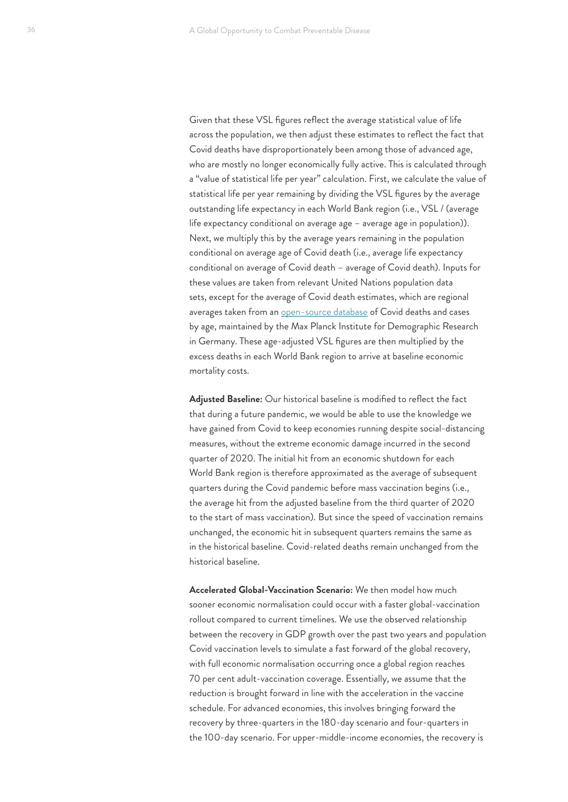Given that these VSL figures reflect the average statistical value of life across the population, we then adjust these estimates to reflect the fact that Covid deaths have disproportionately been among those of advanced age, who are mostly no longer economically fully active. This is calculated through a "value of statistical life per year" calculation. First, we calculate the value of statistical life per year remaining by dividing the VSL figures by the average outstanding life expectancy in each World Bank region (i.e., VSL / (average life expectancy conditional on average age – average age in population)). Next, we multiply this by the average years remaining in the population conditional on average age of Covid death (i.e., average life expectancy conditional on average of Covid death – average of Covid death). Inputs for these values are taken from relevant United Nations population data sets, except for the average of Covid death estimates, which are regional averages taken from an [open-source database](https://osf.io/mpwjq/) of Covid deaths and cases by age, maintained by the Max Planck Institute for Demographic Research in Germany. These age-adjusted VSL figures are then multiplied by the excess deaths in each World Bank region to arrive at baseline economic mortality costs.

**Adjusted Baseline:** Our historical baseline is modified to reflect the fact that during a future pandemic, we would be able to use the knowledge we have gained from Covid to keep economies running despite social-distancing measures, without the extreme economic damage incurred in the second quarter of 2020. The initial hit from an economic shutdown for each World Bank region is therefore approximated as the average of subsequent quarters during the Covid pandemic before mass vaccination begins (i.e., the average hit from the adjusted baseline from the third quarter of 2020 to the start of mass vaccination). But since the speed of vaccination remains unchanged, the economic hit in subsequent quarters remains the same as in the historical baseline. Covid-related deaths remain unchanged from the historical baseline.

**Accelerated Global-Vaccination Scenario:** We then model how much sooner economic normalisation could occur with a faster global-vaccination rollout compared to current timelines. We use the observed relationship between the recovery in GDP growth over the past two years and population Covid vaccination levels to simulate a fast forward of the global recovery, with full economic normalisation occurring once a global region reaches 70 per cent adult-vaccination coverage. Essentially, we assume that the reduction is brought forward in line with the acceleration in the vaccine schedule. For advanced economies, this involves bringing forward the recovery by three-quarters in the 180-day scenario and four-quarters in the 100-day scenario. For upper-middle-income economies, the recovery is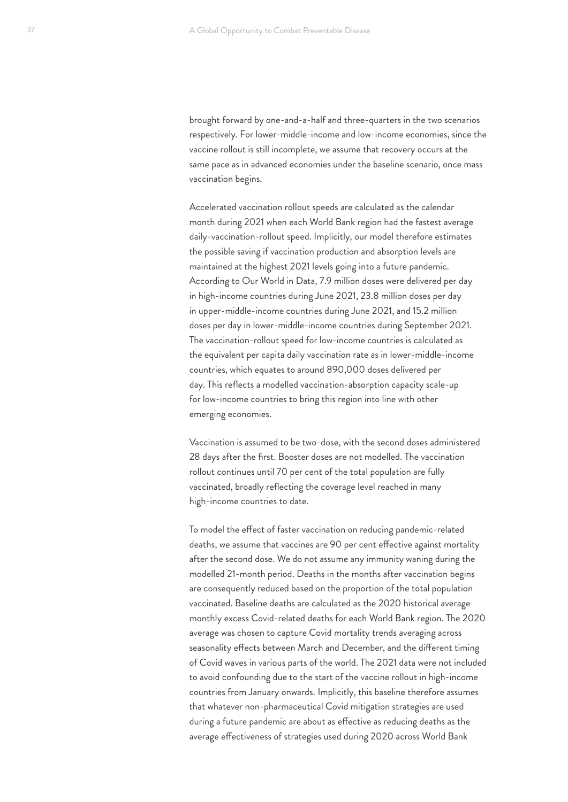brought forward by one-and-a-half and three-quarters in the two scenarios respectively. For lower-middle-income and low-income economies, since the vaccine rollout is still incomplete, we assume that recovery occurs at the same pace as in advanced economies under the baseline scenario, once mass vaccination begins.

Accelerated vaccination rollout speeds are calculated as the calendar month during 2021 when each World Bank region had the fastest average daily-vaccination-rollout speed. Implicitly, our model therefore estimates the possible saving if vaccination production and absorption levels are maintained at the highest 2021 levels going into a future pandemic. According to Our World in Data, 7.9 million doses were delivered per day in high-income countries during June 2021, 23.8 million doses per day in upper-middle-income countries during June 2021, and 15.2 million doses per day in lower-middle-income countries during September 2021. The vaccination-rollout speed for low-income countries is calculated as the equivalent per capita daily vaccination rate as in lower-middle-income countries, which equates to around 890,000 doses delivered per day. This reflects a modelled vaccination-absorption capacity scale-up for low-income countries to bring this region into line with other emerging economies.

Vaccination is assumed to be two-dose, with the second doses administered 28 days after the first. Booster doses are not modelled. The vaccination rollout continues until 70 per cent of the total population are fully vaccinated, broadly reflecting the coverage level reached in many high-income countries to date.

To model the effect of faster vaccination on reducing pandemic-related deaths, we assume that vaccines are 90 per cent effective against mortality after the second dose. We do not assume any immunity waning during the modelled 21-month period. Deaths in the months after vaccination begins are consequently reduced based on the proportion of the total population vaccinated. Baseline deaths are calculated as the 2020 historical average monthly excess Covid-related deaths for each World Bank region. The 2020 average was chosen to capture Covid mortality trends averaging across seasonality effects between March and December, and the different timing of Covid waves in various parts of the world. The 2021 data were not included to avoid confounding due to the start of the vaccine rollout in high-income countries from January onwards. Implicitly, this baseline therefore assumes that whatever non-pharmaceutical Covid mitigation strategies are used during a future pandemic are about as effective as reducing deaths as the average effectiveness of strategies used during 2020 across World Bank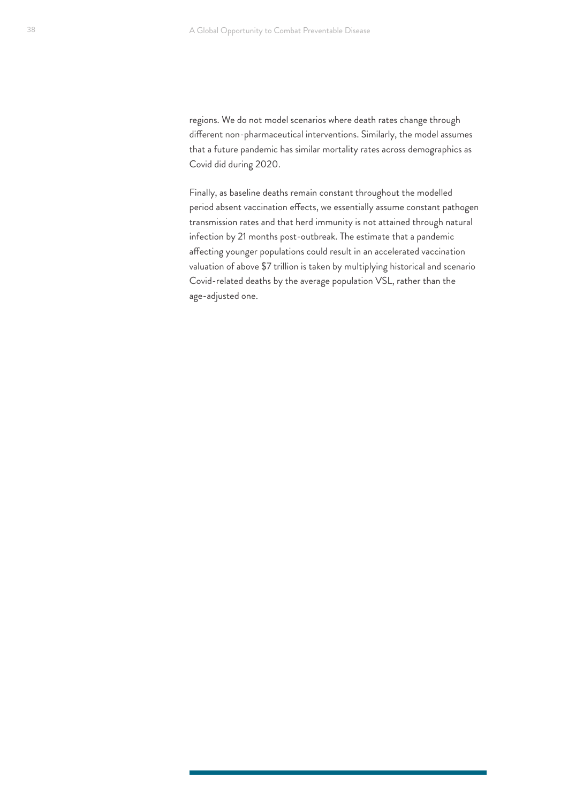regions. We do not model scenarios where death rates change through different non-pharmaceutical interventions. Similarly, the model assumes that a future pandemic has similar mortality rates across demographics as Covid did during 2020.

Finally, as baseline deaths remain constant throughout the modelled period absent vaccination effects, we essentially assume constant pathogen transmission rates and that herd immunity is not attained through natural infection by 21 months post-outbreak. The estimate that a pandemic affecting younger populations could result in an accelerated vaccination valuation of above \$7 trillion is taken by multiplying historical and scenario Covid-related deaths by the average population VSL, rather than the age-adjusted one.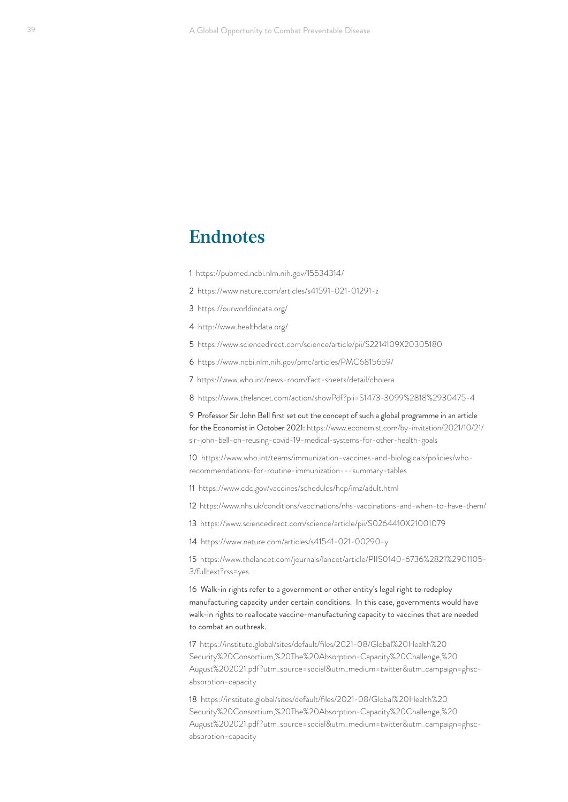# <span id="page-38-0"></span>**Endnotes**

[1](#page-5-0) <https://pubmed.ncbi.nlm.nih.gov/15534314/>

[2](#page-5-0) <https://www.nature.com/articles/s41591-021-01291-z>

[3](#page-6-0) <https://ourworldindata.org/>

[4](#page-6-0) <http://www.healthdata.org/>

[5](#page-6-0) <https://www.sciencedirect.com/science/article/pii/S2214109X20305180>

[6](#page-6-0) <https://www.ncbi.nlm.nih.gov/pmc/articles/PMC6815659/>

[7](#page-6-0) <https://www.who.int/news-room/fact-sheets/detail/cholera>

[8](#page-6-0) <https://www.thelancet.com/action/showPdf?pii=S1473-3099%2818%2930475-4>

[9](#page-7-0) Professor Sir John Bell first set out the concept of such a global programme in an article for the Economist in October 2021: [https://www.economist.com/by-invitation/2021/10/21/](https://www.economist.com/by-invitation/2021/10/21/sir-john-bell-on-reusing-covid-19-medical-systems-for-other-health-goals) [sir-john-bell-on-reusing-covid-19-medical-systems-for-other-health-goals](https://www.economist.com/by-invitation/2021/10/21/sir-john-bell-on-reusing-covid-19-medical-systems-for-other-health-goals)

[10](#page-9-0) [https://www.who.int/teams/immunization-vaccines-and-biologicals/policies/who](https://www.who.int/teams/immunization-vaccines-and-biologicals/policies/who-recommendations-for-routine-immunization---summary-tables)[recommendations-for-routine-immunization---summary-tables](https://www.who.int/teams/immunization-vaccines-and-biologicals/policies/who-recommendations-for-routine-immunization---summary-tables)

[11](#page-9-0) <https://www.cdc.gov/vaccines/schedules/hcp/imz/adult.html>

[12](#page-9-0) <https://www.nhs.uk/conditions/vaccinations/nhs-vaccinations-and-when-to-have-them/>

[13](#page-9-0) <https://www.sciencedirect.com/science/article/pii/S0264410X21001079>

[14](#page-9-0) <https://www.nature.com/articles/s41541-021-00290-y>

[15](#page-9-0) [https://www.thelancet.com/journals/lancet/article/PIIS0140-6736%2821%2901105-](https://www.thelancet.com/journals/lancet/article/PIIS0140-6736%2821%2901105-3/fulltext?rss=yes) [3/fulltext?rss=yes](https://www.thelancet.com/journals/lancet/article/PIIS0140-6736%2821%2901105-3/fulltext?rss=yes)

[16](#page-10-0) Walk-in rights refer to a government or other entity's legal right to redeploy manufacturing capacity under certain conditions. In this case, governments would have walk-in rights to reallocate vaccine-manufacturing capacity to vaccines that are needed to combat an outbreak.

[17](#page-11-0) [https://institute.global/sites/default/files/2021-08/Global%20Health%20](https://institute.global/sites/default/files/2021-08/Global%20Health%20Security%20Consortium,%20The%20Absorption-Capacity%20Challenge,%20August%202021.pdf?utm_source=social&utm_medium=twitter&utm_campaign=ghsc-absorption-capacity) [Security%20Consortium,%20The%20Absorption-Capacity%20Challenge,%20](https://institute.global/sites/default/files/2021-08/Global%20Health%20Security%20Consortium,%20The%20Absorption-Capacity%20Challenge,%20August%202021.pdf?utm_source=social&utm_medium=twitter&utm_campaign=ghsc-absorption-capacity) [August%202021.pdf?utm\\_source=social&utm\\_medium=twitter&utm\\_campaign=ghsc](https://institute.global/sites/default/files/2021-08/Global%20Health%20Security%20Consortium,%20The%20Absorption-Capacity%20Challenge,%20August%202021.pdf?utm_source=social&utm_medium=twitter&utm_campaign=ghsc-absorption-capacity)[absorption-capacity](https://institute.global/sites/default/files/2021-08/Global%20Health%20Security%20Consortium,%20The%20Absorption-Capacity%20Challenge,%20August%202021.pdf?utm_source=social&utm_medium=twitter&utm_campaign=ghsc-absorption-capacity)

[18](#page-12-0) [https://institute.global/sites/default/files/2021-08/Global%20Health%20](https://institute.global/sites/default/files/2021-08/Global%20Health%20Security%20Consortium,%20The%20Absorption-Capacity%20Challenge,%20August%202021.pdf?utm_source=social&utm_medium=twitter&utm_campaign=ghsc-absorption-capacity) [Security%20Consortium,%20The%20Absorption-Capacity%20Challenge,%20](https://institute.global/sites/default/files/2021-08/Global%20Health%20Security%20Consortium,%20The%20Absorption-Capacity%20Challenge,%20August%202021.pdf?utm_source=social&utm_medium=twitter&utm_campaign=ghsc-absorption-capacity) [August%202021.pdf?utm\\_source=social&utm\\_medium=twitter&utm\\_campaign=ghsc](https://institute.global/sites/default/files/2021-08/Global%20Health%20Security%20Consortium,%20The%20Absorption-Capacity%20Challenge,%20August%202021.pdf?utm_source=social&utm_medium=twitter&utm_campaign=ghsc-absorption-capacity)[absorption-capacity](https://institute.global/sites/default/files/2021-08/Global%20Health%20Security%20Consortium,%20The%20Absorption-Capacity%20Challenge,%20August%202021.pdf?utm_source=social&utm_medium=twitter&utm_campaign=ghsc-absorption-capacity)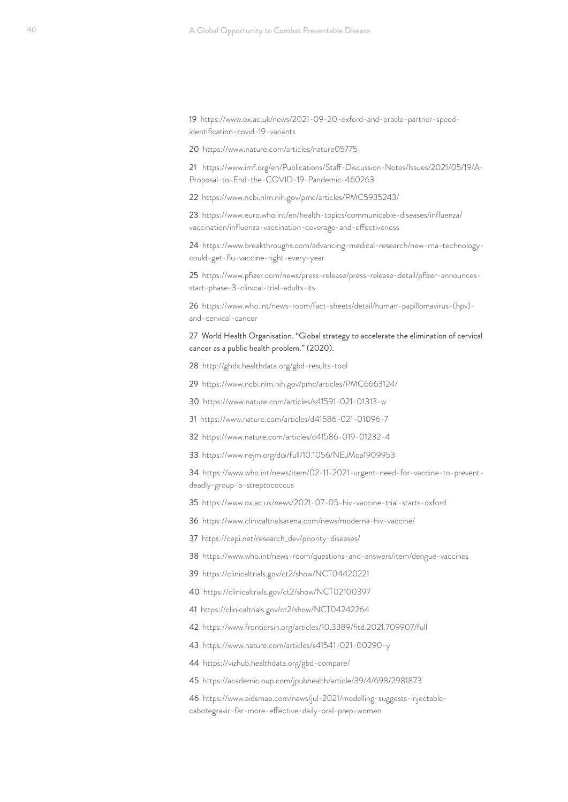<span id="page-39-0"></span> [https://www.ox.ac.uk/news/2021-09-20-oxford-and-oracle-partner-speed](https://www.ox.ac.uk/news/2021-09-20-oxford-and-oracle-partner-speed-identification-covid-19-variants)[identification-covid-19-variants](https://www.ox.ac.uk/news/2021-09-20-oxford-and-oracle-partner-speed-identification-covid-19-variants)

<https://www.nature.com/articles/nature05775>

 [https://www.imf.org/en/Publications/Staff-Discussion-Notes/Issues/2021/05/19/A-](https://www.imf.org/en/Publications/Staff-Discussion-Notes/Issues/2021/05/19/A-Proposal-to-End-the-COVID-19-Pandemic-460263)[Proposal-to-End-the-COVID-19-Pandemic-460263](https://www.imf.org/en/Publications/Staff-Discussion-Notes/Issues/2021/05/19/A-Proposal-to-End-the-COVID-19-Pandemic-460263)

<https://www.ncbi.nlm.nih.gov/pmc/articles/PMC5935243/>

[https://www.euro.who.int/en/health-topics/communicable-diseases/influenza/](https://www.euro.who.int/en/health-topics/communicable-diseases/influenza/vaccination/influenza-vaccination-coverage-and-effectiveness) [vaccination/influenza-vaccination-coverage-and-effectiveness](https://www.euro.who.int/en/health-topics/communicable-diseases/influenza/vaccination/influenza-vaccination-coverage-and-effectiveness)

 [https://www.breakthroughs.com/advancing-medical-research/new-rna-technology](https://www.breakthroughs.com/advancing-medical-research/new-rna-technology-could-get-flu-vaccine-right-every-year)[could-get-flu-vaccine-right-every-year](https://www.breakthroughs.com/advancing-medical-research/new-rna-technology-could-get-flu-vaccine-right-every-year)

[https://www.pfizer.com/news/press-release/press-release-detail/pfizer-announces](https://www.pfizer.com/news/press-release/press-release-detail/pfizer-announces-start-phase-3-clinical-trial-adults-its)[start-phase-3-clinical-trial-adults-its](https://www.pfizer.com/news/press-release/press-release-detail/pfizer-announces-start-phase-3-clinical-trial-adults-its)

[https://www.who.int/news-room/fact-sheets/detail/human-papillomavirus-\(hpv\)](https://www.who.int/news-room/fact-sheets/detail/human-papillomavirus-(hpv)-and-cervical-cancer) [and-cervical-cancer](https://www.who.int/news-room/fact-sheets/detail/human-papillomavirus-(hpv)-and-cervical-cancer)

 World Health Organisation. "Global strategy to accelerate the elimination of cervical cancer as a public health problem." (2020).

<http://ghdx.healthdata.org/gbd-results-tool>

<https://www.ncbi.nlm.nih.gov/pmc/articles/PMC6663124/>

<https://www.nature.com/articles/s41591-021-01313-w>

<https://www.nature.com/articles/d41586-021-01096-7>

<https://www.nature.com/articles/d41586-019-01232-4>

<https://www.nejm.org/doi/full/10.1056/NEJMoa1909953>

 [https://www.who.int/news/item/02-11-2021-urgent-need-for-vaccine-to-prevent](https://www.who.int/news/item/02-11-2021-urgent-need-for-vaccine-to-prevent-deadly-group-b-streptococcus)[deadly-group-b-streptococcus](https://www.who.int/news/item/02-11-2021-urgent-need-for-vaccine-to-prevent-deadly-group-b-streptococcus)

<https://www.ox.ac.uk/news/2021-07-05-hiv-vaccine-trial-starts-oxford>

<https://www.clinicaltrialsarena.com/news/moderna-hiv-vaccine/>

[https://cepi.net/research\\_dev/priority-diseases/](https://cepi.net/research_dev/priority-diseases/)

<https://www.who.int/news-room/questions-and-answers/item/dengue-vaccines>

<https://clinicaltrials.gov/ct2/show/NCT04420221>

<https://clinicaltrials.gov/ct2/show/NCT02100397>

<https://clinicaltrials.gov/ct2/show/NCT04242264>

<https://www.frontiersin.org/articles/10.3389/fitd.2021.709907/full>

<https://www.nature.com/articles/s41541-021-00290-y>

<https://vizhub.healthdata.org/gbd-compare/>

<https://academic.oup.com/jpubhealth/article/39/4/698/2981873>

[https://www.aidsmap.com/news/jul-2021/modelling-suggests-injectable](https://www.aidsmap.com/news/jul-2021/modelling-suggests-injectable-cabotegravir-far-more-effective-daily-oral-prep-women)[cabotegravir-far-more-effective-daily-oral-prep-women](https://www.aidsmap.com/news/jul-2021/modelling-suggests-injectable-cabotegravir-far-more-effective-daily-oral-prep-women)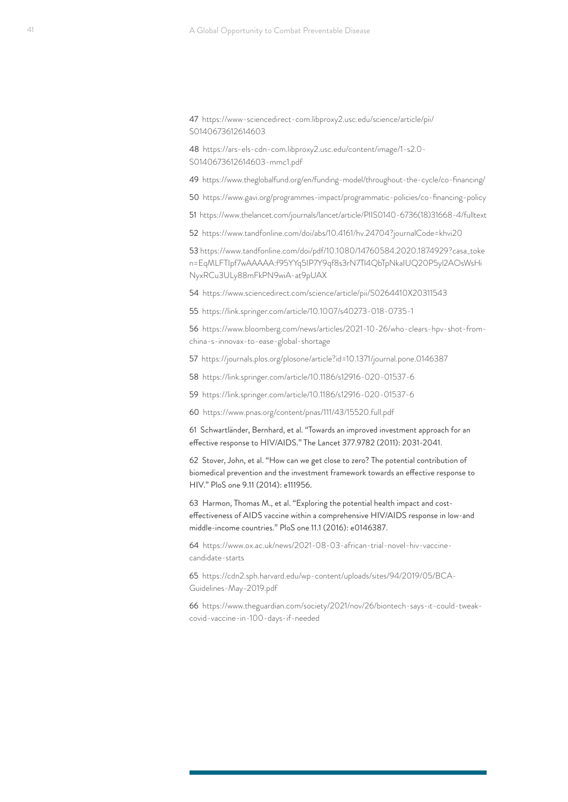<span id="page-40-0"></span>[47](#page-25-0) [https://www-sciencedirect-com.libproxy2.usc.edu/science/article/pii/](https://www-sciencedirect-com.libproxy2.usc.edu/science/article/pii/S0140673612614603) [S0140673612614603](https://www-sciencedirect-com.libproxy2.usc.edu/science/article/pii/S0140673612614603)

[48](#page-25-0) [https://ars-els-cdn-com.libproxy2.usc.edu/content/image/1-s2.0-](https://ars-els-cdn-com.libproxy2.usc.edu/content/image/1-s2.0-S0140673612614603-mmc1.pdf) [S0140673612614603-mmc1.pdf](https://ars-els-cdn-com.libproxy2.usc.edu/content/image/1-s2.0-S0140673612614603-mmc1.pdf)

[49](#page-26-0) <https://www.theglobalfund.org/en/funding-model/throughout-the-cycle/co-financing/>

[50](#page-26-0) <https://www.gavi.org/programmes-impact/programmatic-policies/co-financing-policy>

[51](#page-28-0) [https://www.thelancet.com/journals/lancet/article/PIIS0140-6736\(18\)31668-4/fulltext](https://www.thelancet.com/journals/lancet/article/PIIS0140-6736(18)31668-4/fulltext)

[52](#page-29-0) <https://www.tandfonline.com/doi/abs/10.4161/hv.24704?journalCode=khvi20>

[53](#page-29-0) [https://www.tandfonline.com/doi/pdf/10.1080/14760584.2020.1874929?casa\\_toke](https://www.tandfonline.com/doi/pdf/10.1080/14760584.2020.1874929?casa_token=EqMLFTIpf7wAAAAA:f95YYq5IP7Y9qf8s3rN7Tl4QbTpNkaIUQ20P5yl2AOsWsHiNyxRCu3ULy88mFkPN9wiA-at9pUAX) [n=EqMLFTIpf7wAAAAA:f95YYq5IP7Y9qf8s3rN7Tl4QbTpNkaIUQ20P5yl2AOsWsHi](https://www.tandfonline.com/doi/pdf/10.1080/14760584.2020.1874929?casa_token=EqMLFTIpf7wAAAAA:f95YYq5IP7Y9qf8s3rN7Tl4QbTpNkaIUQ20P5yl2AOsWsHiNyxRCu3ULy88mFkPN9wiA-at9pUAX) [NyxRCu3ULy88mFkPN9wiA-at9pUAX](https://www.tandfonline.com/doi/pdf/10.1080/14760584.2020.1874929?casa_token=EqMLFTIpf7wAAAAA:f95YYq5IP7Y9qf8s3rN7Tl4QbTpNkaIUQ20P5yl2AOsWsHiNyxRCu3ULy88mFkPN9wiA-at9pUAX)

[54](#page-29-0) <https://www.sciencedirect.com/science/article/pii/S0264410X20311543>

[55](#page-29-0) <https://link.springer.com/article/10.1007/s40273-018-0735-1>

[56](#page-30-0) [https://www.bloomberg.com/news/articles/2021-10-26/who-clears-hpv-shot-from](https://www.bloomberg.com/news/articles/2021-10-26/who-clears-hpv-shot-from-china-s-innovax-to-ease-global-shortage)[china-s-innovax-to-ease-global-shortage](https://www.bloomberg.com/news/articles/2021-10-26/who-clears-hpv-shot-from-china-s-innovax-to-ease-global-shortage)

[57](#page-30-0) <https://journals.plos.org/plosone/article?id=10.1371/journal.pone.0146387>

[58](#page-30-0) <https://link.springer.com/article/10.1186/s12916-020-01537-6>

[59](#page-30-0) <https://link.springer.com/article/10.1186/s12916-020-01537-6>

[60](#page-30-0) <https://www.pnas.org/content/pnas/111/43/15520.full.pdf>

[61](#page-31-0) Schwartländer, Bernhard, et al. "Towards an improved investment approach for an effective response to HIV/AIDS." The Lancet 377.9782 (2011): 2031-2041.

[62](#page-31-0) Stover, John, et al. "How can we get close to zero? The potential contribution of biomedical prevention and the investment framework towards an effective response to HIV." PloS one 9.11 (2014): e111956.

[63](#page-31-0) Harmon, Thomas M., et al. "Exploring the potential health impact and costeffectiveness of AIDS vaccine within a comprehensive HIV/AIDS response in low-and middle-income countries." PloS one 11.1 (2016): e0146387.

[64](#page-31-0) [https://www.ox.ac.uk/news/2021-08-03-african-trial-novel-hiv-vaccine](https://www.ox.ac.uk/news/2021-08-03-african-trial-novel-hiv-vaccine-candidate-starts)[candidate-starts](https://www.ox.ac.uk/news/2021-08-03-african-trial-novel-hiv-vaccine-candidate-starts)

[65](#page-32-0) [https://cdn2.sph.harvard.edu/wp-content/uploads/sites/94/2019/05/BCA-](https://cdn2.sph.harvard.edu/wp-content/uploads/sites/94/2019/05/BCA-Guidelines-May-2019.pdf)[Guidelines-May-2019.pdf](https://cdn2.sph.harvard.edu/wp-content/uploads/sites/94/2019/05/BCA-Guidelines-May-2019.pdf)

[66](#page-33-0) [https://www.theguardian.com/society/2021/nov/26/biontech-says-it-could-tweak](https://www.theguardian.com/society/2021/nov/26/biontech-says-it-could-tweak-covid-vaccine-in-100-days-if-needed)[covid-vaccine-in-100-days-if-needed](https://www.theguardian.com/society/2021/nov/26/biontech-says-it-could-tweak-covid-vaccine-in-100-days-if-needed)